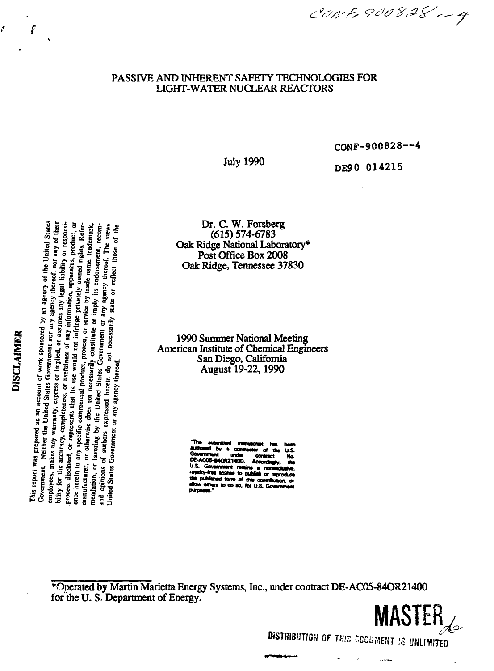CONF, 900828 -- 4

# PASSIVE AND INHERENT SAFETY TECHNOLOGIES FOR LIGHT-WATER NUCLEAR REACTORS

CONF-900828—4

**MASTER**

%

ONSTRIBUTION OF THIS COCUMENT IS UNLIG

u.

.....

DE90 014215

Dr. C. W. Forsberg (615) 574-6783 Oak Ridge National Laboratory\* Post Office Box 2008 Oak Ridge, Tennessee 37830

1990 Summer National Meeting American Institute of Chemical Engineers San Diego, California August 19-22,1990

**M lorn\* to putMi v nnraduo\***

\*Operated by Martin Marietta Energy Systems, Inc., under contract DE-AC05-84OR21400 for the U.S. Department of Energy.

nited<br>any oi<br>or res<br>producing<br>trade:<br>The<br>The<br>Dose o **" feu" - PORSOT**<br>
ent nou<br>
d, or a,<br>
s of an<br>
not in<br>
constitu<br>
constitu United States Government or any agency thereof. **l <sup>H</sup> r>kS)Ul3<9 w 0U038.OSB 1**

State<br>f their their ponsider<br> $\alpha$  and  $\alpha$  their computers  $\alpha$ <br> $\alpha$  . The f the

**July 1990** 

ŕ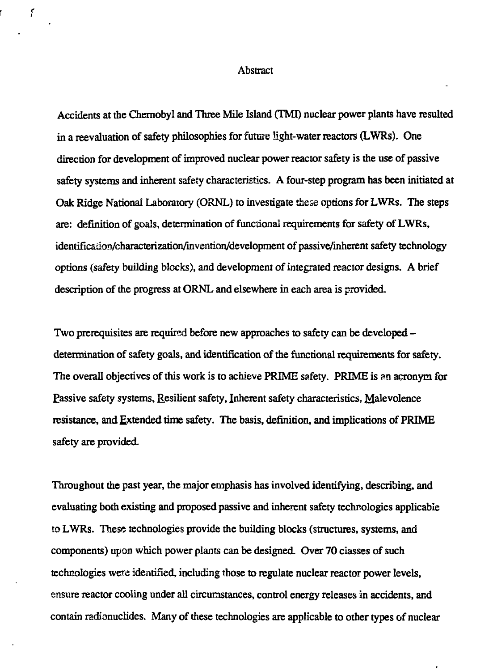#### Abstract

 $\epsilon$ 

Accidents at the Chernobyl and Three Mile Island (TMI) nuclear power plants have resulted in a reevaluation of safety philosophies for future light-water reactors (LWRs). One direction for development of improved nuclear power reactor safety is the use of passive safety systems and inherent safety characteristics. A four-step program has been initiated at Oak Ridge National Laboratory (ORNL) to investigate these options for LWRs. The steps are: definition of goals, determination of functional requirements for safety of LWRs, identification/characterization/invention/development of passive/inherent safety technology options (safety building blocks), and development of integrated reactor designs. A brief description of the progress at ORNL and elsewhere in each area is provided.

Two prerequisites are required before new approaches to safety can be developed – determination of safety goals, and identification of the functional requirements for safety. The overall objectives of this work is to achieve PRIME safety. PRIME is an acronym for Eassive safety systems, Resilient safety, Inherent safety characteristics, Malevolence resistance, and Extended time safety. The basis, definition, and implications of PRIME safety are provided.

Throughout the past year, the major emphasis has involved identifying, describing, and evaluating both existing and proposed passive and inherent safety technologies applicable to LWRs. These technologies provide the building blocks (structures, systems, and components) upon which power plants can be designed. Over 70 classes of such technologies were identified, including those to regulate nuclear reactor power levels, ensure reactor cooling under all circumstances, control energy releases in accidents, and contain radionuclides. Many of these technologies are applicable to other types of nuclear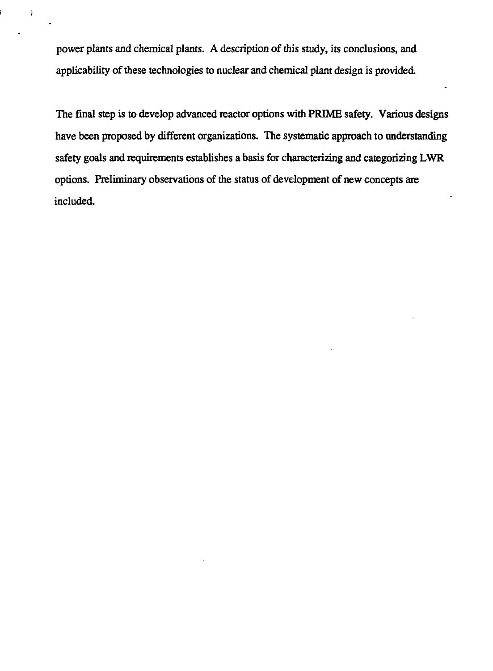power plants and chemical plants. A description of this study, its conclusions, and applicability of these technologies to nuclear and chemical plant design is provided.

 $\mathcal{I}$ 

The final step is to develop advanced reactor options with PRIME safety. Various designs have been proposed by different organizations. The systematic approach to understanding safety goals and requirements establishes a basis for characterizing and categorizing LWR options. Preliminary observations of the status of development of new concepts arc included.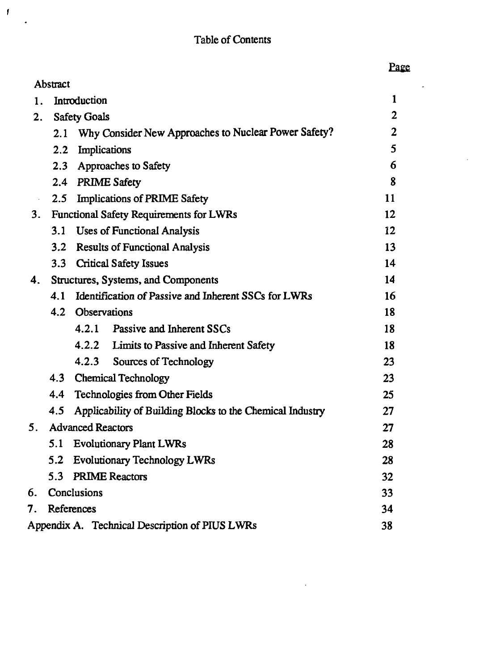$\mathcal{F}$ 

 $\overline{a}$ 

 $\overline{a}$ 

l,

|    | Abstract            |                          |                                                           |                |
|----|---------------------|--------------------------|-----------------------------------------------------------|----------------|
| 1. |                     | Introduction             |                                                           | 1              |
| 2. | <b>Safety Goals</b> |                          |                                                           | $\overline{2}$ |
|    | 2.1                 |                          | Why Consider New Approaches to Nuclear Power Safety?      | $\overline{2}$ |
|    | $2.2^{\circ}$       | Implications             |                                                           | 5              |
|    | $2.3 -$             |                          | Approaches to Safety                                      | 6              |
|    |                     | 2.4 PRIME Safety         |                                                           | 8              |
|    | 2.5                 |                          | <b>Implications of PRIME Safety</b>                       | 11             |
| 3. |                     |                          | <b>Functional Safety Requirements for LWRs</b>            | 12             |
|    | 3.1                 |                          | <b>Uses of Functional Analysis</b>                        | 12             |
|    | 3.2                 |                          | <b>Results of Functional Analysis</b>                     | 13             |
|    | 3.3                 |                          | <b>Critical Safety Issues</b>                             | 14             |
| 4. |                     |                          | Structures, Systems, and Components                       | 14             |
|    | 4.1                 |                          | Identification of Passive and Inherent SSCs for LWRs      | 16             |
|    |                     | 4.2 Observations         |                                                           | 18             |
|    |                     | 4.2.1                    | Passive and Inherent SSCs                                 | 18             |
|    |                     |                          | 4.2.2 Limits to Passive and Inherent Safety               | 18             |
|    |                     |                          | 4.2.3 Sources of Technology                               | 23             |
|    |                     |                          | 4.3 Chemical Technology                                   | 23             |
|    | 4.4                 |                          | <b>Technologies from Other Fields</b>                     | 25             |
|    | 4.5                 |                          | Applicability of Building Blocks to the Chemical Industry | 27             |
| 5. |                     | <b>Advanced Reactors</b> |                                                           | 27             |
|    | 5.1                 |                          | <b>Evolutionary Plant LWRs</b>                            | 28             |
|    | 5.2                 |                          | <b>Evolutionary Technology LWRs</b>                       | 28             |
|    | 5.3                 |                          | <b>PRIME Reactors</b>                                     | 32             |
| 6. |                     | Conclusions              |                                                           | 33             |
| 7. |                     | References               |                                                           | 34             |
|    |                     |                          | Appendix A. Technical Description of PIUS LWRs            | 38             |

 $\sim 10^{-10}$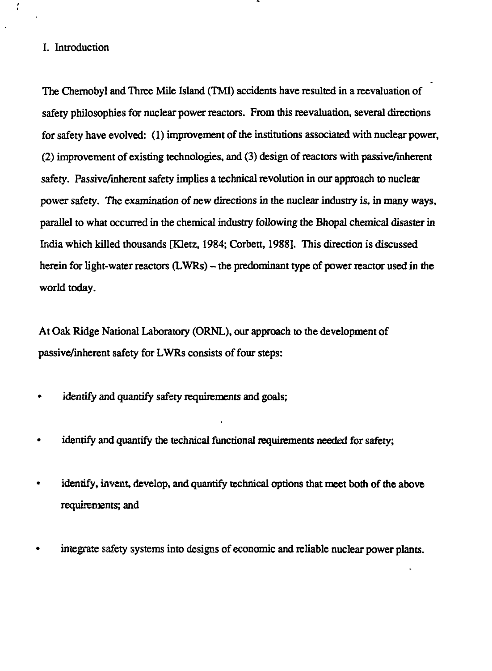# I. Introduction

 $\mathbf{r}$ 

The Chernobyl and Three Mile Island (TMI) accidents have resulted in a reevaluation of safety philosophies for nuclear power reactors. From this reevaluation, several directions for safety have evolved: (1) improvement of the institutions associated with nuclear power, (2) improvement of existing technologies, and (3) design of reactors with passive/inherent safety. Passive/inherent safety implies a technical revolution in our approach to nuclear power safety. The examination of new directions in the nuclear industry is, in many ways, parallel to what occurred in the chemical industry following the Bhopal chemical disaster in India which killed thousands [Kletz, 1984; Corbett, 1988]. This direction is discussed herein for light-water reactors (LWRs) – the predominant type of power reactor used in the world today.

At Oak Ridge National Laboratory (ORNL), our approach to the development of passive/inherent safety for LWRs consists of four steps:

- » identify and quantify safety requirements and goals;
- identify and quantify the technical functional requirements needed for safety;  $\bullet$
- identify, invent, develop, and quantify technical options that meet both of the above requirements; and
- integrate safety systems into designs of economic and reliable nuclear power plants.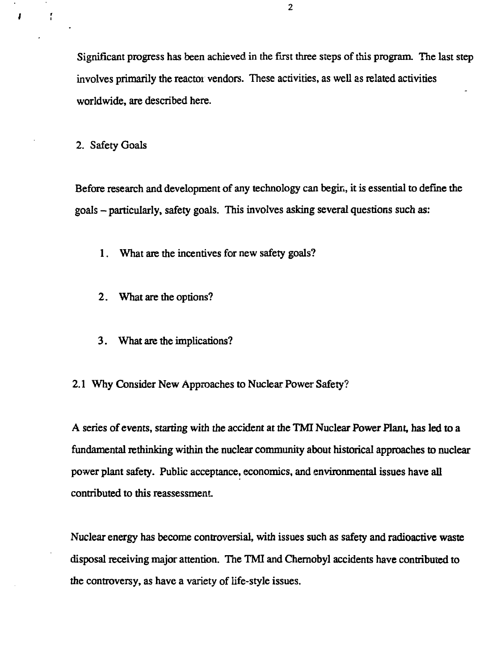Significant progress has been achieved in the first three steps of this program. The last step involves primarily the reactor vendors. These activities, as well as related activities worldwide, are described here.

2. Safety Goals

f

J

Before research and development of any technology can begin, it is essential to define the goals - particularly, safety goals. This involves asking several questions such as:

1. What are the incentives for new safety goals?

- 2. What are the options?
- 3. What are the implications?

2.1 Why Consider New Approaches to Nuclear Power Safety?

A series of events, starting with the accident at the TMI Nuclear Power Plant, has led to a fundamental rethinking within the nuclear community about historical approaches to nuclear power plant safety. Public acceptance, economics, and environmental issues have all contributed to this reassessment

Nuclear energy has become controversial, with issues such as safety and radioactive waste disposal receiving major attention. The TMI and Chernobyl accidents have contributed to the controversy, as have a variety of life-style issues.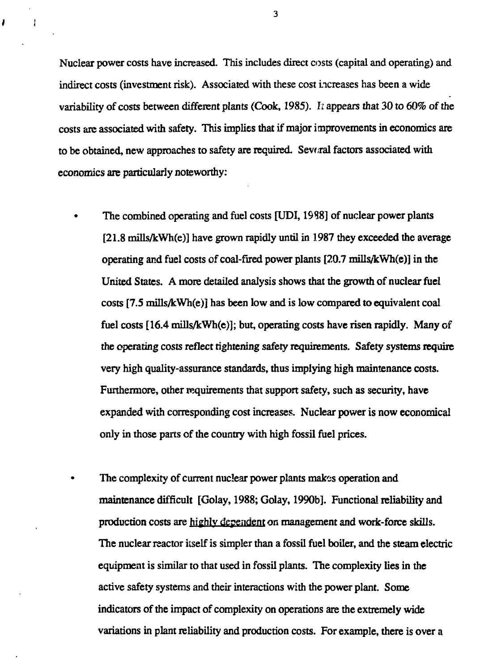Nuclear power costs have increased. This includes direct costs (capital and operating) and indirect costs (investment risk). Associated with these cost increases has been a wide variability of costs between different plants (Cook, 1985). *It* appears that 30 to 60% of the costs are associated with safety. This implies that if major improvements in economics are to be obtained, new approaches to safety arc required. Several factors associated with economics are particularly noteworthy:

 $\mathbf{I}$ 

ł

The combined operating and fuel costs [UDI, 1988] of nuclear power plants [21.8 mills/kWh(e)] have grown rapidly until in 1987 they exceeded the average operating and fuel costs of coal-fired power plants [20.7 mills/kWh(e)] in the United States. A more detailed analysis shows that the growth of nuclear fuel costs [7.5 mills/kWh(e)j has been low and is low compared to equivalent coal fuel costs [16.4 mills/kWh(e)]; but, operating costs have risen rapidly. Many of the operating *costs reflect* tightening safety requirements. Safety systems require very high quality-assurance standards, thus implying high maintenance costs. Furthermore, other requirements that support safety, such as security, have expanded with corresponding cost increases. Nuclear power is now economical only in those parts of the country with high fossil fuel prices.

The complexity of current nuclear power plants makes operation and maintenance difficult [Golay, 1988; Golay, 1990b]. Functional reliability and production costs are highly dependent on management and work-force skills. The nuclear reactor itself is simpler than a fossil fuel boiler, and the steam electric equipment is similar to that used in fossil plants. The complexity lies in the active safety systems and their interactions with the power plant. Some indicators of the impact of complexity on operations are the extremely wide variations in plant reliability and production costs. For example, there is over a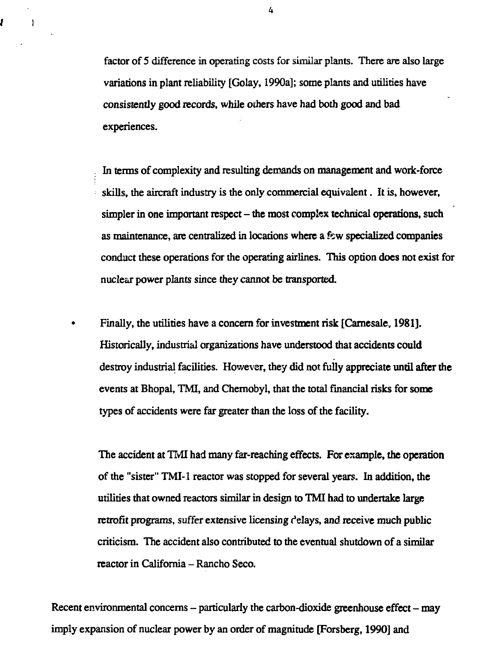factor of 5 difference in operating costs for similar plants. There are also large variations in plant reliability [Golay, 1990a]; some plants and utilities have consistently good records, while others have had both good and bad experiences.

In terms of complexity and resulting demands on management and work-force skills, the aircraft industry is the only commercial equivalent. It is, however, simpler in one important respect - the most complex technical operations, such as maintenance, are centralized in locations where a few specialized companies conduct these operations for the operating airlines. This option does not exist for nuclear power plants since they cannot be transported.

Finally, the utilities have a concern for investment risk [Carnesale, 1981]. Historically, industrial organizations have understood that accidents could destroy industrial facilities. However, they did not fuily appreciate until after the events at Bhopal, TMI, and Chernobyl, that the total financial risks for some types of accidents were far greater than the loss of the facility.

The accident at TMI had many far-reaching effects. For example, the operation of the "sister" TMI-1 reactor was stopped for several years. In addition, the utilities that owned reactors similar in design to TMI had to undertake large retrofit programs, suffer extensive licensing delays, and receive much public criticism. The accident also contributed to the eventual shutdown of a similar reactor in California - Rancho Seco.

Recent environmental concerns  $-$  particularly the carbon-dioxide greenhouse effect  $-$  may imply expansion of nuclear power by an order of magnitude [Forsberg, 1990] and

4

Í

 $\overline{1}$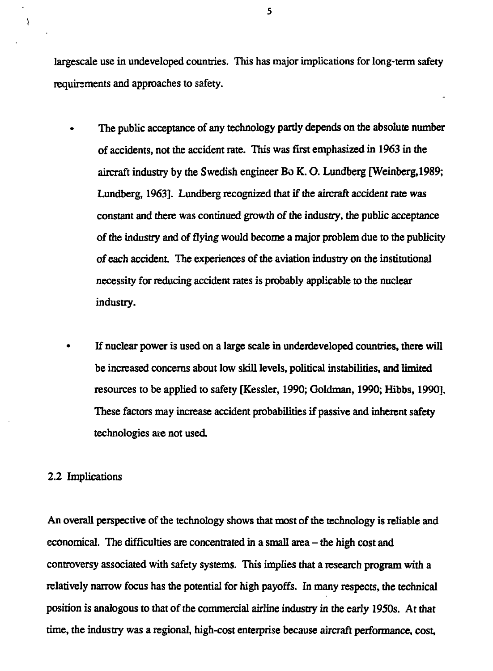largescale use in undeveloped countries. This has major implications for long-term safety requirements and approaches to safety.

- The public acceptance of any technology partly depends on the absolute number of accidents, not the accident rate. This was first emphasized in 1963 in die aircraft industry by the Swedish engineer Bo K. O. Lundberg [Weinberg,1989; Lundberg, 1963]. Lundberg recognized that if the aircraft accident rate was constant and there was continued growth of the industry, the public acceptance of the industry and of flying would become a major problem due to the publicity of each accident. The experiences of the aviation industry on the institutional necessity for reducing accident rates is probably applicable to the nuclear industry.
- If nuclear power is used on a large scale in underdeveloped countries, there will be increased concerns about low skill levels, political instabilities, and limited resources to be applied to safety [Kessler, 1990; Goldman, 1990; Hibbs, 1990]. These factors may increase accident probabilities if passive and inherent safety technologies axe not used

#### 2.2 Implications

f,

An overall perspective of the technology shows that most of the technology is reliable and economical. The difficulties are concentrated in a small area - the high cost and controversy associated with safety systems. This implies that a research program with a relatively narrow focus has the potential for high payoffs. In many respects, the technical position is analogous to that of the commercial airline industry in the early 1950s. At that time, the industry was a regional, high-cost enterprise because aircraft performance, cost,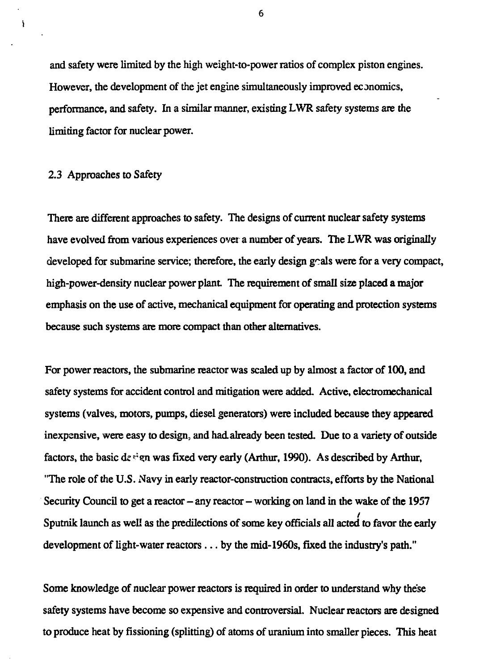and safety were limited by the high weight-to-power ratios of complex piston engines. However, the development of the jet engine simultaneously improved economics, performance, and safety. In a similar manner, existing LWR safety systems are the limiting factor for nuclear power.

#### 2.3 Approaches to Safety

 $\overline{\phantom{a}}$ 

There are different approaches to safety. The designs of current nuclear safety systems have evolved from various experiences over a number of years. The LWR was originally developed for submarine service; therefore, the early design  $g$  als were for a very compact, high-power-density nuclear power plant. The requirement of small size placed a major emphasis on the use of active, mechanical equipment for operating and protection systems because such systems are more compact than other alternatives.

For power reactors, the submarine reactor was scaled up by almost a factor of 100, and safety systems for accident control and mitigation were added. Active, electromechanical systems (valves, motors, pumps, diesel generators) were included because they appeared inexpensive, were easy to design, and had. already been tested. Due to a variety of outside factors, the basic de  $\dot{\mathbf{r}}$  en was fixed very early (Arthur, 1990). As described by Arthur, "The role of the U.S. Navy in early reactor-construction contracts, efforts by the National Security Council to get a reactor  $-\text{any}$  reactor  $-\text{working}$  on land in the wake of the 1957 Sputnik launch as well as the predilections of some key officials all acted to favor die early development of light-water reactors... by the mid-1960s, fixed the industry's path."

Some knowledge of nuclear power reactors is required in order to understand why these safety systems have become so expensive and controversial. Nuclear reactors are designed to produce heat by fissioning (splitting) of atoms of uranium into smaller pieces. This heat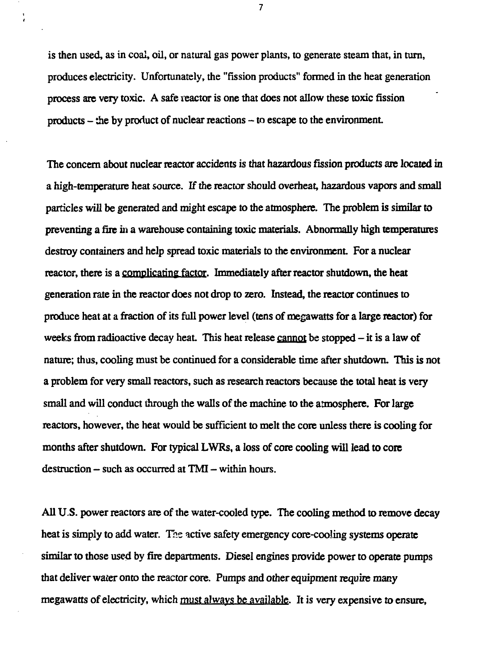is then used, as in coal, oil, or natural gas power plants, to generate steam that, in turn, produces electricity. Unfortunately, the "fission products" formed in the heat generation process are very toxic. A safe reactor is one that does not allow these toxic fission  $products - the by product of nuclear reactions - to escape to the environment.$ 

The concem about nuclear reactor accidents is that hazardous fission products are located in a high-temperature heat source. If the reactor should overheat, hazardous vapors and small particles will be generated and might escape to the atmosphere. The problem is similar to preventing a fire in a warehouse containing toxic materials. Abnormally high temperatures destroy containers and help spread toxic materials to the environment. For a nuclear reactor, there is a complicating factor. Immediately after reactor shutdown, the heat generation rate in the reactor does not drop to zero. Instead, the reactor continues to produce heat at a fraction of its full power level (tens of megawatts for a large reactor) for weeks from radioactive decay heat. This heat release cannot be stopped - it is a law of nature; thus, cooling must be continued for a considerable time after shutdown. This is not a problem for very small reactors, such as research reactors because the total heat is very small and will conduct through the walls of the machine to the atmosphere. For large reactors, however, the heat would be sufficient to melt the core unless there is cooling for months after shutdown. For typical LWRs, a loss of core cooling will lead to core  $d$ estruction  $-$  such as occurred at TMI  $-$  within hours.

All U.S. power reactors are of the water-cooled type. The cooling method to remove decay heat is simply to add water. The active safety emergency core-cooling systems operate similar to those used by fire departments. Diesel engines provide power to operate pumps that deliver water onto the reactor core. Pumps and other equipment require many megawatts of electricity, which must always be available. It is *very* expensive to ensure,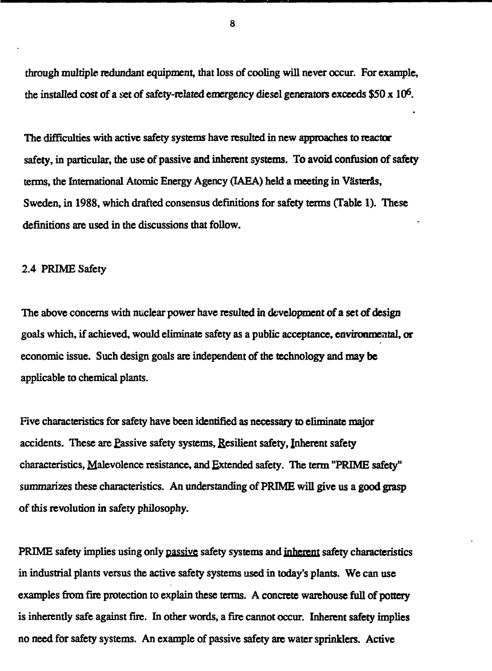through multiple redundant equipment, that loss of cooling will never occur. For example, the installed cost of a *set* of safety-related emergency diesel generators exceeds \$50 x 10<sup>6</sup> .

The difficulties with active safety systems have resulted in new approaches to reactor safety, in particular, the use of passive and inherent systems. To avoid confusion of safety terms, the International Atomic Energy Agency (IAEA) held a meeting in Västerås, Sweden, in 1988, which drafted consensus definitions for safety terms (Table 1). These definitions are used in the discussions that follow.

#### 2.4 PRIME Safety

The above concerns with nuclear power have resulted in development of a set of design goals which, if achieved, would eliminate safety as a public acceptance, environmental, or economic issue. Such design goals are independent of the technology and may be applicable to chemical plants.

Five characteristics for safety have been identified as necessary to eliminate major accidents. These are £assive safety systems, Resilient safety, Inherent safety characteristics, Malevolence resistance, and Extended safety. The term "PRIME safety" summarizes these characteristics. An understanding of PRIME will give us a good grasp of this revolution in safety philosophy.

PRIME safety implies using only passive safety systems and inherent safety characteristics in industrial plants versus the active safety systems used in today's plants. We can use examples from fire protection to explain these terms. A concrete warehouse full of pottery is inherently safe against fire. In other words, a fire cannot occur. Inherent safety implies no need for safety systems. An example of passive safety are water sprinklers. Active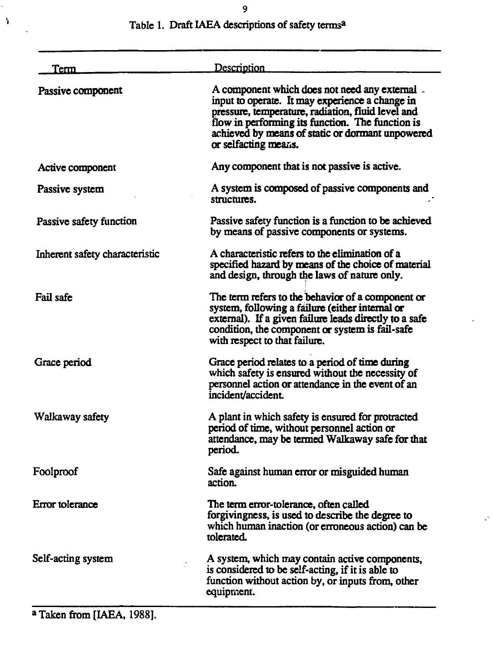| Tem                            | Description                                                                                                                                                                                                                                                                            |
|--------------------------------|----------------------------------------------------------------------------------------------------------------------------------------------------------------------------------------------------------------------------------------------------------------------------------------|
| Passive component              | A component which does not need any external -<br>input to operate. It may experience a change in<br>pressure, temperature, radiation, fluid level and<br>flow in performing its function. The function is<br>achieved by means of static or dormant unpowered<br>or selfacting means. |
| Active component               | Any component that is not passive is active.                                                                                                                                                                                                                                           |
| Passive system                 | A system is composed of passive components and<br>structures.                                                                                                                                                                                                                          |
| Passive safety function        | Passive safety function is a function to be achieved<br>by means of passive components or systems.                                                                                                                                                                                     |
| Inherent safety characteristic | A characteristic refers to the elimination of a<br>specified hazard by means of the choice of material<br>and design, through the laws of nature only.                                                                                                                                 |
| Fail safe                      | The term refers to the behavior of a component or<br>system, following a failure (either internal or<br>external). If a given failure leads directly to a safe<br>condition, the component or system is fail-safe<br>with respect to that failure.                                     |
| Grace period                   | Grace period relates to a period of time during<br>which safety is ensured without the necessity of<br>personnel action or attendance in the event of an<br>incident/accident.                                                                                                         |
| Walkaway safety                | A plant in which safety is ensured for protracted<br>period of time, without personnel action or<br>attendance, may be termed Walkaway safe for that<br>period.                                                                                                                        |
| Foolproof                      | Safe against human error or misguided human<br>action.                                                                                                                                                                                                                                 |
| Error tolerance                | The term error-tolerance, often called<br>forgivingness, is used to describe the degree to<br>which human inaction (or erroneous action) can be<br>tolerated.                                                                                                                          |
| Self-acting system             | A system, which may contain active components,<br>is considered to be self-acting, if it is able to                                                                                                                                                                                    |

**equipment.**

**function without action by, or inputs from, other**

J.

# **Table 1. Draft IAEA descriptions of safety terms<sup>a</sup>**

**a Taken from [IAEA, 1988].**

 $\rightarrow$ 

 $\ddot{\phantom{a}}$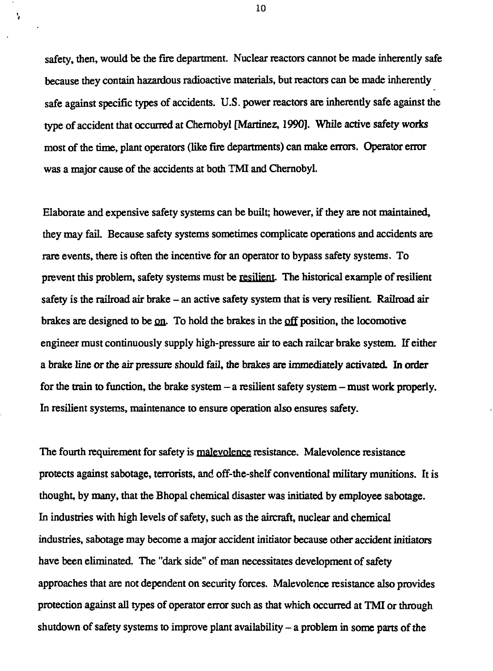safety, then, would be the fire department. Nuclear reactors cannot be made inherently safe because they contain hazardous radioactive materials, but reactors can be made inherently safe against specific types of accidents. U.S. power reactors are inherently safe against the type of accident that occurred at Chernobyl [Martinez, 1990]. While active safety works most of the time, plant operators (like fire departments) can make errors. Operator error was a major cause of the accidents at both TMI and Chernobyl.

Elaborate and expensive safety systems can be built; however, if they are not maintained, they may fail Because safety systems sometimes complicate operations and accidents are rare events, there is often the incentive for an operator to bypass safety systems. To prevent this problem, safety systems must be resilient The historical example of resilient safety is the railroad air brake – an active safety system that is very resilient. Railroad air brakes are designed to be  $q<sub>n</sub>$ . To hold the brakes in the off position, the locomotive engineer must continuously supply high-pressure air to each railcar brake system. If either a brake line or the air pressure should fail, the brakes are immediately activated. In order for the train to function, the brake system  $-$  a resilient safety system  $-$  must work properly. In resilient systems, maintenance to ensure operation also ensures safety.

The fourth requirement for safety is malevolence resistance. Malevolence resistance protects against sabotage, terrorists, and off-the-shelf conventional military munitions. It is thought, by many, that the Bhopal chemical disaster was initiated by employee sabotage. In industries with high levels of safety, such as the aircraft, nuclear and chemical industries, sabotage may become a major accident initiator because other accident initiators have been eliminated. The "dark side" of man necessitates development of safety approaches that are not dependent on security forces. Malevolence resistance also provides protection against all types of operator error such as that which occurred at TMI or through shutdown of safety systems to improve plant availability  $-$  a problem in some parts of the

**10**

Ą.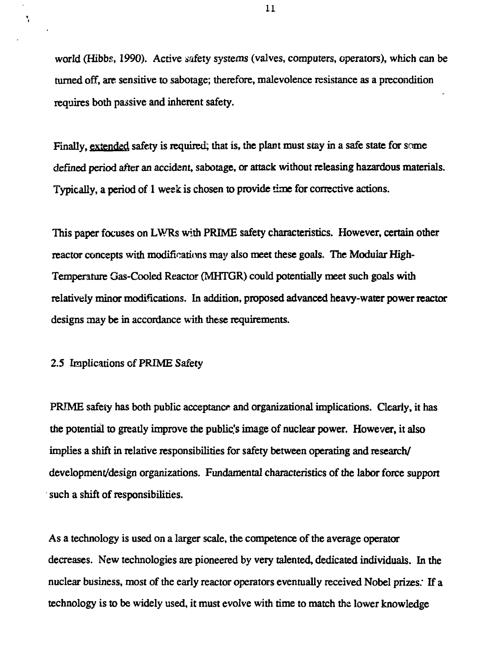world (Hibbs, 1990). Active safety *systems* (valves, computers, operators), which can be turned off, are sensitive to sabotage; therefore, malevolence resistance as a precondition requires both passive and inherent safety.

Finally, extended safety is required; that is, the plant must stay in a safe state for some defined period after an accident, sabotage, or attack without releasing hazardous materials. Typically, a period of 1 week is chosen to provide time for corrective actions.

This paper focuses on LWRs with PRIME safety characteristics. However, certain other reactor concepts with modifications may also meet these goals. The Modular High-Temperature Gas-Cooled Reactor (MHTGR) could potentially meet such goals with relatively minor modifications. In addition, proposed advanced heavy-water power reactor designs may be in accordance with these requirements.

2.5 Implications of PRIME Safety

Ñ.

PRIME safety has both public acceptance and organizational implications. Clearly, it has the potential to greatly improve the public's image of nuclear power. However, it also implies a shift in relative responsibilities for safety between operating and research/ development/design organizations. Fundamental characteristics of the labor force support such a shift of responsibilities.

As a technology is used on a larger scale, the competence of the average operator decreases. New technologies are pioneered by very talented, dedicated individuals. In the nuclear business, most of the early reactor operators eventually received Nobel prizes: If a technology is to be widely used, it must evolve with time to match the lower knowledge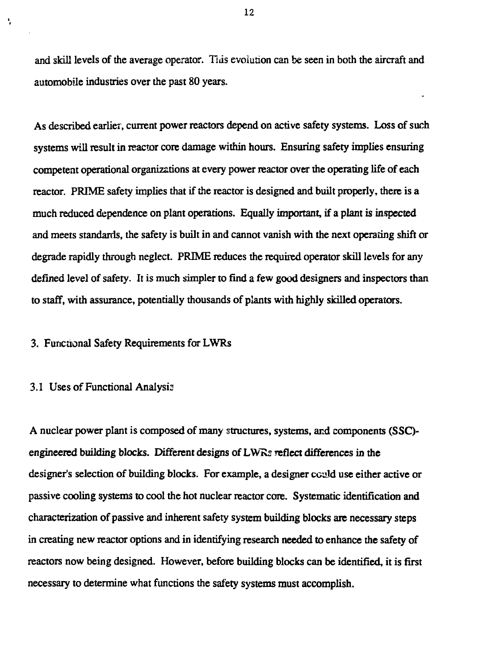and skill levels of the average operator. Tias evolution can be seen in both the aircraft and automobile industries over the past 80 years.

As described earlier, current power reactors depend on active safety systems. Loss of such systems will result in reactor core damage within hours. Ensuring safety implies ensuring competent operational organizations at every power reactor over the operating life of each reactor. PRIME safety implies that if the reactor is designed and built properly, there is a much reduced dependence on plant operations. Equally important, if a plant is inspected and meets standards, the safety is built in and cannot vanish with the next operating shift or degrade rapidly through neglect. PRIME reduces the required operator skill levels for any defined level of safety. It is much simpler to find a few good designers and inspectors than to staff, with assurance, potentially thousands of plants with highly skilled operators.

# 3. Functional Safety Requirements for LWRs

#### 3.1 Uses of Functional Analysis

Ń,

A nuclear power plant is composed of many structures, systems, and components (SSQengineered building blocks. Different designs of LWRs reflect differences in the designer's selection of building blocks. For example, a designer could use either active or passive cooling systems to cool the hot nuclear reactor core. Systematic identification and characterization of passive and inherent safety system building blocks are necessary steps in creating new reactor options and in identifying research needed to enhance the safety of reactors now being designed. However, before building blocks can be identified, it is first necessary to determine what functions the safety systems must accomplish.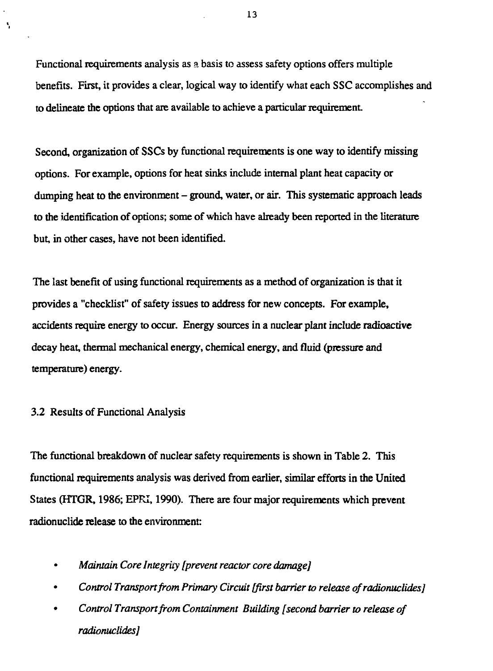Functional requirements analysis as a basis to assess safety options offers multiple benefits. First, it provides a clear, logical way to identify what each SSC accomplishes and to delineate the options that are available to achieve a particular requirement.

Second, organization of SSCs by functional requirements is one way to identify missing options. For example, options for heat sinks include internal plant heat capacity or dumping heat to the environment – ground, water, or air. This systematic approach leads to the identification of options; some of which have already been reported in the literature but, in other cases, have not been identified.

The last benefit of using functional requirements as a method of organization is that it provides a "checklist" of safety issues to address for new concepts. For example, accidents require energy to occur. Energy sources in a nuclear plant include radioactive decay heat, thermal mechanical energy, chemical energy, and fluid (pressure and temperature) energy.

#### 3.2 Results of Functional Analysis

À,

The functional breakdown of nuclear safety requirements is shown in Table 2. This functional requirements analysis was derived from earlier, similar efforts in the United States (HTGR, 1986; EPRI, 1990). There are four major requirements which prevent radionuclide release to the environment:

- • *Maintain Core Integrity [prevent reactor core damage]*
- *Control Transport from Primary Circuit [first barrier to release ofradionuclides]*
- • *Control Transport from Containment Building [second barrier to release of radionuclides}*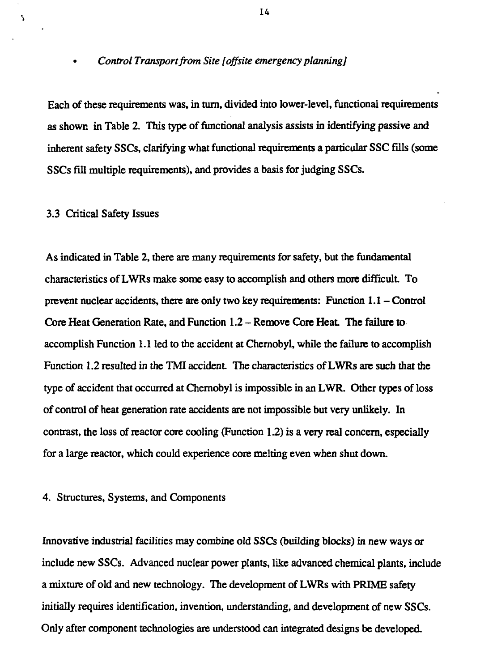#### • *Control Transport from Site [offsite emergency planning]*

Each of these requirements was, in turn, divided into lower-level, functional requirements as shown in Table 2. This type of functional analysis assists in identifying passive and inherent safety SSCs, clarifying what functional requirements a particular SSC fills (some SSCs fill multiple requirements), and provides a basis for judging SSCs.

#### 3.3 Critical Safety Issues

 $\overline{\phantom{a}}$ 

As indicated in Table 2, there are many requirements for safety, but the fundamental characteristics of LWRs make some easy to accomplish and others more difficult To prevent nuclear accidents, there are only two key requirements: Function 1.1 - Control Core Heat Generation Rate, and Function 1.2 – Remove Core Heat. The failure to accomplish Function 1.1 led to the accident at Chernobyl, while the failure to accomplish Function 1.2 resulted in the TMI accident. The characteristics of LWRs are such that the type of accident that occurred at Chernobyl is impossible in an LWR. Other types of loss of control of heat generation rate accidents are not impossible but very unlikely. In contrast, the loss of reactor core cooling (Function 1.2) is a very real concern, especially for a large reactor, which could experience core melting even when shut down.

# 4. Structures, Systems, and Components

Innovative industrial facilities may combine old SSCs (building blocks) in new ways or include new SSCs. Advanced nuclear power plants, like advanced chemical plants, include a mixture of old and new technology. The development of LWRs with PRIME safety initially requires identification, invention, understanding, and development of new SSCs. Only after component technologies are understood can integrated designs be developed.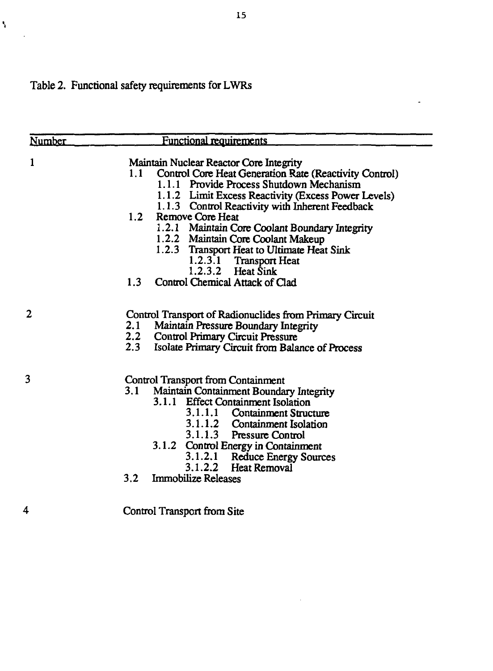# Table 2. Functional safety requirements for LWRs

 $\bar{\mathbf{y}}$ 

 $\bar{\omega}$ 

| Number | <b>Functional requirements</b>                                                                                                                                                                                                                                                                                                                                                    |
|--------|-----------------------------------------------------------------------------------------------------------------------------------------------------------------------------------------------------------------------------------------------------------------------------------------------------------------------------------------------------------------------------------|
| 1      | Maintain Nuclear Reactor Core Integrity<br>1.1<br>Control Core Heat Generation Rate (Reactivity Control)<br>1.1.1 Provide Process Shutdown Mechanism<br>1.1.2 Limit Excess Reactivity (Excess Power Levels)<br>1.1.3 Control Reactivity with Inherent Feedback<br>1.2<br>Remove Core Heat<br>1.2.1 Maintain Core Coolant Boundary Integrity                                       |
|        | 1.2.2 Maintain Core Coolant Makeup<br>1.2.3 Transport Heat to Ultimate Heat Sink<br>1.2.3.1 Transport Heat<br>1.2.3.2 Heat Sink<br>1.3<br>Control Chemical Attack of Clad                                                                                                                                                                                                         |
| 2      | Control Transport of Radionuclides from Primary Circuit<br>2.1<br>Maintain Pressure Boundary Integrity<br>2.2<br><b>Control Primary Circuit Pressure</b><br>2.3<br>Isolate Primary Circuit from Balance of Process                                                                                                                                                                |
| 3      | <b>Control Transport from Containment</b><br>Maintain Containment Boundary Integrity<br>3.1<br>3.1.1 Effect Containment Isolation<br>3.1.1.1 Containment Structure<br>3.1.1.2 Containment Isolation<br>3.1.1.3 Pressure Control<br>3.1.2 Control Energy in Containment<br>3.1.2.1 Reduce Energy Sources<br>3.1.2.2 Heat Removal<br><b>Immobilize Releases</b><br>3.2 <sub>1</sub> |
| 4      | Control Transport from Site                                                                                                                                                                                                                                                                                                                                                       |

 $\bar{z}$ 

 $\overline{\phantom{a}}$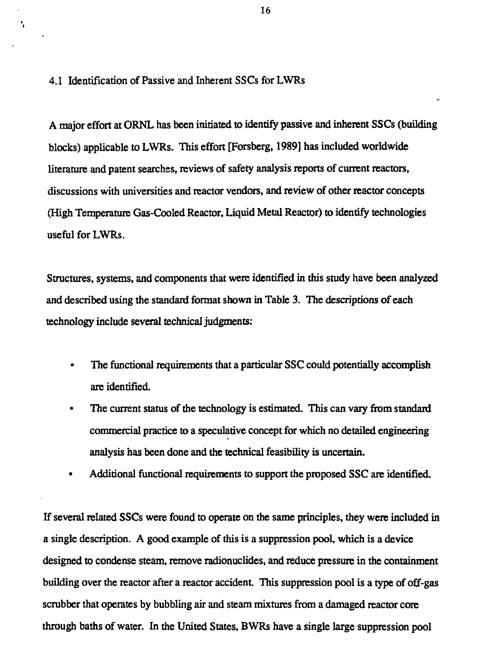4.1 Identification of Passive and Inherent SSCs for LWRs

A major effort at ORNL has been initiated to identify passive and inherent SSCs (building blocks) applicable to LWRs. This effort [Forsberg, 1989] has included worldwide literature and patent searches, reviews of safety analysis reports of current reactors, discussions with universities and reactor vendors, and review of other reactor concepts (High Temperature Gas-Cooled Reactor, Liquid Metal Reactor) to identify technologies useful for LWRs.

Structures, systems, and components that were identified in this study have been analyzed and described using the standard format shown in Table 3. The descriptions of each technology include several technical judgments:

- The functional requirements that a particular SSC could potentially accomplish are identified.
- The current status of the technology is estimated. This can vary from standard commercial practice to a speculative concept for which no detailed engineering analysis has been done and the technical feasibility is uncertain.
- Additional functional requirements to support the proposed SSC are identified.

If several related SSCs were found to operate on the same principles, they were included in a single description. A good example of this is a suppression pool, which is a device designed to condense steam, remove radionuclides, and reduce pressure in the containment building over the reactor after a reactor accident. This suppression pool is a type of off-gas scrubber that operates by bubbling air and steam mixtures from a damaged reactor core through baths of water. In the United States, BWRs have a single large suppression pool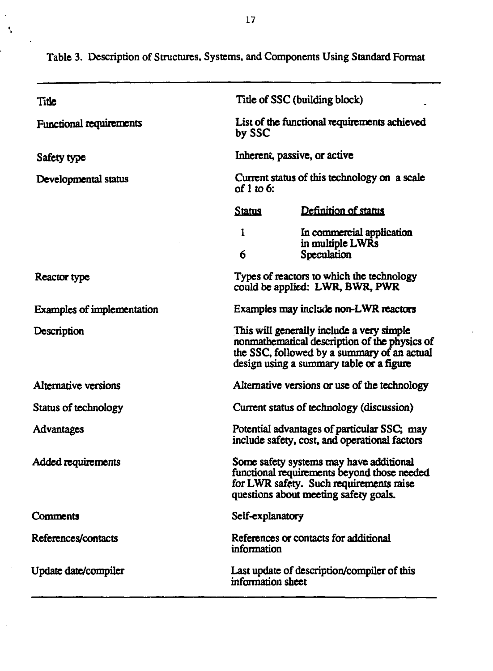| Title                             | Title of SSC (building block)                                                                                                                                                         |  |  |
|-----------------------------------|---------------------------------------------------------------------------------------------------------------------------------------------------------------------------------------|--|--|
| <b>Functional requirements</b>    | List of the functional requirements achieved<br>by SSC                                                                                                                                |  |  |
| Safety type                       | Inherent, passive, or active                                                                                                                                                          |  |  |
| Developmental status              | Current status of this technology on a scale<br>of 1 to 6:                                                                                                                            |  |  |
|                                   | Definition of status<br><b>Status</b>                                                                                                                                                 |  |  |
|                                   | 1<br>In commercial application<br>in multiple LWRs<br>6<br>Speculation                                                                                                                |  |  |
| Reactor type                      | Types of reactors to which the technology<br>could be applied: LWR, BWR, PWR                                                                                                          |  |  |
| <b>Examples of implementation</b> | Examples may include non-LWR reactors                                                                                                                                                 |  |  |
| Description                       | This will generally include a very simple<br>nonmathematical description of the physics of<br>the SSC, followed by a summary of an actual<br>design using a summary table or a figure |  |  |
| Alternative versions              | Alternative versions or use of the technology                                                                                                                                         |  |  |
| Status of technology              | Current status of technology (discussion)                                                                                                                                             |  |  |
| Advantages                        | Potential advantages of particular SSC; may<br>include safety, cost, and operational factors                                                                                          |  |  |
| Added requirements                | Some safety systems may have additional<br>functional requirements beyond those needed<br>for LWR safety. Such requirements raise<br>questions about meeting safety goals.            |  |  |
| Comments                          | Self-explanatory                                                                                                                                                                      |  |  |
| References/contacts               | References or contacts for additional<br>information                                                                                                                                  |  |  |
| Update date/compiler              | Last update of description/compiler of this<br>information sheet                                                                                                                      |  |  |

**Table 3. Description of Structures, Systems, and Components Using Standard Format**

 $\ddot{\phantom{1}}$  $\tilde{\mathbf{r}}$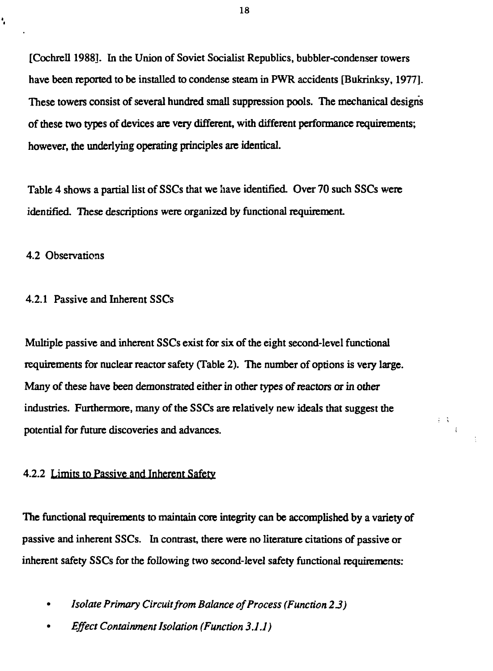[Cochrell 1988]. In the Union of Soviet Socialist Republics, bubbler-condenser towers have been reported to be installed to condense steam in PWR accidents [Bukrinksy, 1977]. These towers consist of several hundred small suppression pools. The mechanical designs of these two types of devices are very different, with different performance requirements; however, the underlying operating principles are identical.

Table 4 shows a partial list of SSCs that we have identified. Over 70 such SSCs were identified. These descriptions were organized by functional requirement.

# 4.2 Observations

ł,

# 4.2.1 Passive and Inherent SSCs

Multiple passive and inherent SSCs exist for six of the eight second-level functional requirements for nuclear reactor safety (Table 2). The number of options is very large. Many of these have been demonstrated either in other types of reactors or in other industries. Furthermore, many of the SSCs are relatively new ideals that suggest the potential for future discoveries and advances.

针条  $\mathcal{L}$ 

# 4.2.2 Limits to Passive and Inherent Safety

The functional requirements to maintain core integrity can be accomplished by a variety of passive and inherent SSCs. In contrast, there were no literature citations of passive or inherent safety SSCs for the following two second-level safety functional requirements:

- • *Isolate Primary Circuit from Balance of Process (Function 2 3)*
- *Effect Containment Isolation (Function 3.1.1)*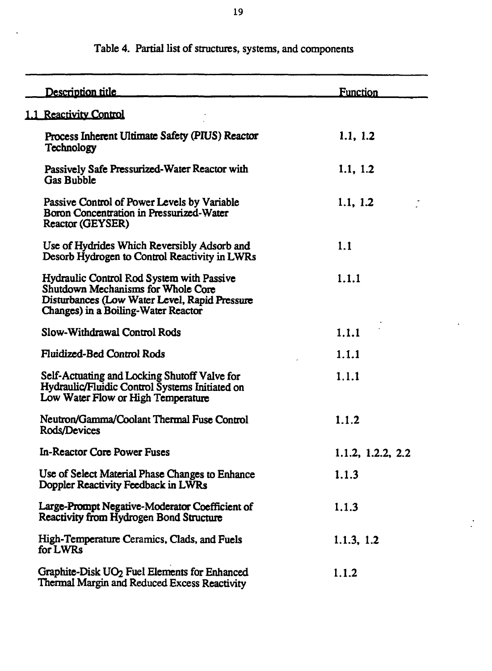| Description title                                                                                                                                                       | <b>Function</b>   |
|-------------------------------------------------------------------------------------------------------------------------------------------------------------------------|-------------------|
| 1.1 Reactivity Control                                                                                                                                                  |                   |
| Process Inherent Ultimate Safety (PIUS) Reactor<br><b>Technology</b>                                                                                                    | 1.1, 1.2          |
| Passively Safe Pressurized-Water Reactor with<br><b>Gas Bubble</b>                                                                                                      | 1.1, 1.2          |
| Passive Control of Power Levels by Variable<br>Boron Concentration in Pressurized-Water<br>Reactor (GEYSER)                                                             | 1.1, 1.2          |
| Use of Hydrides Which Reversibly Adsorb and<br>Desorb Hydrogen to Control Reactivity in LWRs                                                                            | 1.1               |
| Hydraulic Control Rod System with Passive<br>Shutdown Mechanisms for Whole Core<br>Disturbances (Low Water Level, Rapid Pressure<br>Changes) in a Boiling-Water Reactor | 1.1.1             |
| Slow-Withdrawal Control Rods                                                                                                                                            | 1.1.1             |
| Fluidized-Bed Control Rods                                                                                                                                              | 1.1.1             |
| Self-Actuating and Locking Shutoff Valve for<br>Hydraulic/Fluidic Control Systems Initiated on<br>Low Water Flow or High Temperature                                    | 1.1.1             |
| Neutron/Gamma/Coolant Thermal Fuse Control<br>Rods/Devices                                                                                                              | 1.1.2             |
| <b>In-Reactor Core Power Fuses</b>                                                                                                                                      | 1.1.2, 1.2.2, 2.2 |
| Use of Select Material Phase Changes to Enhance<br>Doppler Reactivity Feedback in LWRs                                                                                  | 1.1.3             |
| Large-Prompt Negative-Moderator Coefficient of<br>Reactivity from Hydrogen Bond Structure                                                                               | 1.1.3             |
| High-Temperature Ceramics, Clads, and Fuels<br>for LWRs                                                                                                                 | 1.1.3, 1.2        |
| Graphite-Disk UO <sub>2</sub> Fuel Elements for Enhanced<br>Thermal Margin and Reduced Excess Reactivity                                                                | 1.1.2             |

# **Table 4. Partial list of structures, systems, and components**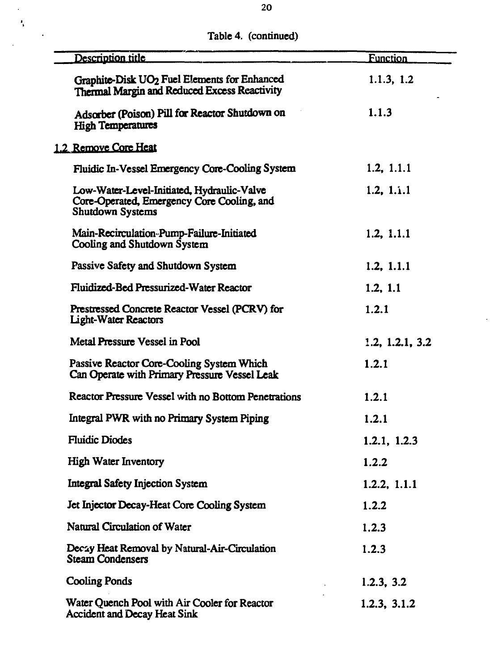**Table 4. (continued)**

 $\ddot{\phantom{0}}$  $\frac{1}{3}$ 

 $\bar{z}$ 

 $\cdot$ 

 $\overline{a}$ 

| Description title                                                                                            | <b>Function</b> |
|--------------------------------------------------------------------------------------------------------------|-----------------|
| Graphite-Disk UO <sub>2</sub> Fuel Elements for Enhanced<br>Thermal Margin and Reduced Excess Reactivity     | 1.1.3, 1.2      |
| Adsorber (Poison) Pill for Reactor Shutdown on<br><b>High Temperatures</b>                                   | 1.1.3           |
| 1.2 Remove Core Heat                                                                                         |                 |
| Fluidic In-Vessel Emergency Core-Cooling System                                                              | 1.2, 1.1.1      |
| Low-Water-Level-Initiated, Hydraulic-Valve<br>Core-Operated, Emergency Core Cooling, and<br>Shutdown Systems | 1.2. 1.1.1      |
| Main-Recirculation-Pump-Failure-Initiated<br>Cooling and Shutdown System                                     | 1.2, 1.1.1      |
| Passive Safety and Shutdown System                                                                           | 1.2, 1.1.1      |
| Fluidized-Bed Pressurized-Water Reactor                                                                      | 1.2, 1.1        |
| Prestressed Concrete Reactor Vessel (PCRV) for<br><b>Light-Water Reactors</b>                                | 1.2.1           |
| Metal Pressure Vessel in Pool                                                                                | 1.2, 1.2.1, 3.2 |
| Passive Reactor Core-Cooling System Which<br>Can Operate with Primary Pressure Vessel Leak                   | 1.2.1           |
| Reactor Pressure Vessel with no Bottom Penetrations                                                          | 1.2.1           |
| Integral PWR with no Primary System Piping                                                                   | 1.2.1           |
| <b>Fluidic Diodes</b>                                                                                        | 1.2.1, 1.2.3    |
| <b>High Water Inventory</b>                                                                                  | 1.2.2           |
| <b>Integral Safety Injection System</b>                                                                      | 1.2.2, 1.1.1    |
| Jet Injector Decay-Heat Core Cooling System                                                                  | 1.2.2           |
| Natural Circulation of Water                                                                                 | 1.2.3           |
| Decay Heat Removal by Natural-Air-Circulation<br><b>Steam Condensers</b>                                     | 1.2.3           |
| <b>Cooling Ponds</b>                                                                                         | 1.2.3, 3.2      |
| Water Quench Pool with Air Cooler for Reactor<br><b>Accident and Decay Heat Sink</b>                         | 1.2.3, 3.1.2    |

 $\ddot{\phantom{0}}$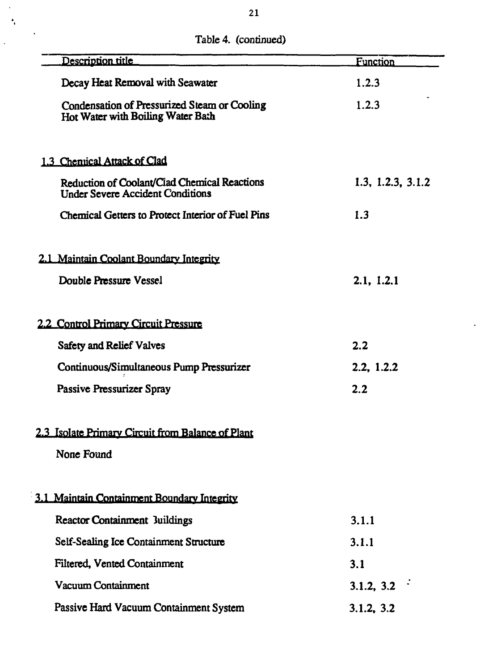|  | Table 4. (continued) |
|--|----------------------|
|--|----------------------|

 $\bar{\beta}$  $\ddot{\phantom{a}}$ 

 $\ddot{\phantom{0}}$ 

| Description title                                                                       | <b>Function</b>   |
|-----------------------------------------------------------------------------------------|-------------------|
| Decay Heat Removal with Seawater                                                        | 1.2.3             |
| Condensation of Pressurized Steam or Cooling<br>Hot Water with Boiling Water Bath       | 1.2.3             |
| 1.3 Chemical Attack of Clad                                                             |                   |
| Reduction of Coolant/Clad Chemical Reactions<br><b>Under Severe Accident Conditions</b> | 1.3, 1.2.3, 3.1.2 |
| Chemical Getters to Protect Interior of Fuel Pins                                       | 1.3               |
| 2.1 Maintain Coolant Boundary Integrity                                                 |                   |
| Double Pressure Vessel                                                                  | 2.1, 1.2.1        |
| 2.2 Control Primary Circuit Pressure                                                    |                   |
| <b>Safety and Relief Valves</b>                                                         | 2.2               |
| Continuous/Simultaneous Pump Pressurizer                                                | 2.2, 1.2.2        |
| Passive Pressurizer Spray                                                               | 2.2               |
| 2.3 Isolate Primary Circuit from Balance of Plant                                       |                   |
| None Found                                                                              |                   |
| 3.1 Maintain Containment Boundary Integrity                                             |                   |
| <b>Reactor Containment 3uildings</b>                                                    | 3.1.1             |
| Self-Sealing Ice Containment Structure                                                  | 3.1.1             |
| Filtered, Vented Containment                                                            | 3.1               |
| Vacuum Containment                                                                      | 3.1.2, $3.2$      |
| Passive Hard Vacuum Containment System                                                  | 3.1.2, 3.2        |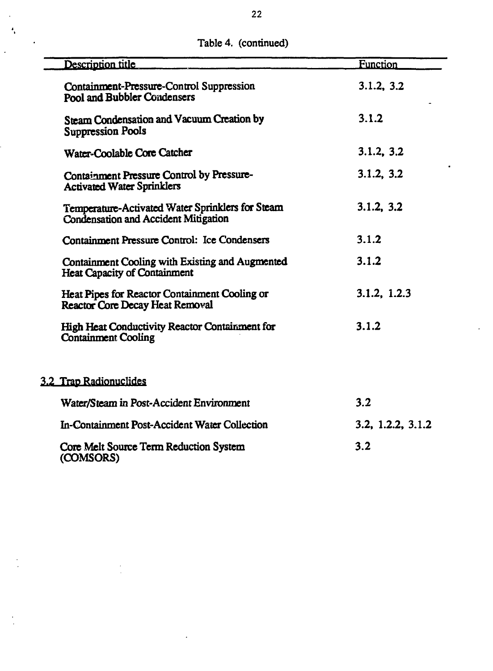| Description title                                                                               | <b>Function</b>   |
|-------------------------------------------------------------------------------------------------|-------------------|
| Containment-Pressure-Control Suppression<br>Pool and Bubbler Condensers                         | 3.1.2, 3.2        |
| Steam Condensation and Vacuum Creation by<br><b>Suppression Pools</b>                           | 3.1.2             |
| Water-Coolable Core Catcher                                                                     | 3.1.2, 3.2        |
| Containment Pressure Control by Pressure-<br><b>Activated Water Sprinklers</b>                  | 3.1.2, 3.2        |
| Temperature-Activated Water Sprinklers for Steam<br><b>Condensation and Accident Mitigation</b> | 3.1.2, 3.2        |
| Containment Pressure Control: Ice Condensers                                                    | 3.1.2             |
| Containment Cooling with Existing and Augmented<br><b>Heat Capacity of Containment</b>          | 3.1.2             |
| Heat Pipes for Reactor Containment Cooling or<br>Reactor Core Decay Heat Removal                | 3.1.2, 1.2.3      |
| High Heat Conductivity Reactor Containment for<br><b>Containment Cooling</b>                    | 3.1.2             |
| 3.2 Trap Radionuclides                                                                          |                   |
| Water/Steam in Post-Accident Environment                                                        | 3.2               |
| In-Containment Post-Accident Water Collection                                                   | 3.2, 1.2.2, 3.1.2 |
| Core Melt Source Term Reduction System<br>(COMSORS)                                             | 3.2               |

**Table 4. (continued)**

 $\ddot{\phantom{a}}$  $\bar{\mathbf{z}}_i$ 

 $\ddot{\phantom{0}}$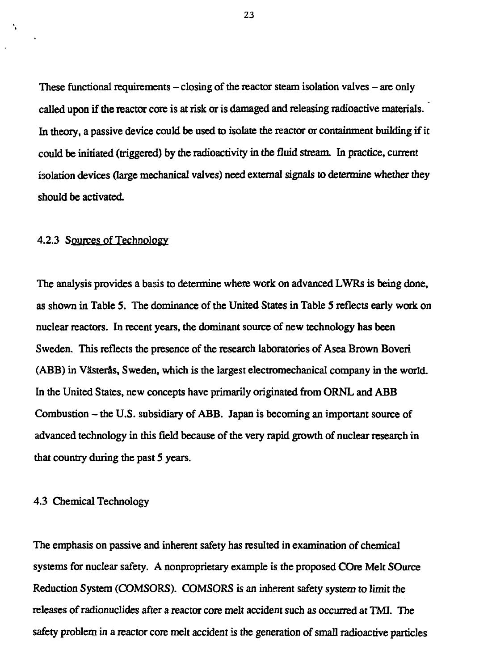These functional requirements  $-\text{ closing}$  of the reactor steam isolation valves  $-\text{are only}$ called upon if the reactor core is at risk or is damaged and releasing radioactive materials. In theory, a passive device could be used to isolate the reactor or containment building if it could be initiated (triggered) by the radioactivity in the fluid stream. In practice, current isolation devices (large mechanical valves) need extemal signals to determine whether they should be activated.

# 4.2.3 Sources of Technology

÷,

The analysis provides a basis to determine where work on advanced LWRs is being done, as shown in Table S. The dominance of the United States in Table 5 reflects early work on nuclear reactors. In recent years, the dominant source of new technology has been Sweden. This reflects the presence of the research laboratories of Asea Brown Boveri (ABB) in Vasteras, Sweden, which is the largest electromechanical company in the world. In the United States, new concepts have primarily originated from ORNL and ABB Combustion - the U.S. subsidiary of ABB. Japan is becoming an important source of advanced technology in this field because of the very rapid growth of nuclear research in that country during the past 5 years.

#### 4.3 Chemical Technology

The emphasis on passive and inherent safety has resulted in examination of chemical systems for nuclear safety. A nonproprietary example is the proposed COre Melt SOurce Reduction System (COMSORS). COMSORS is an inherent safety system to limit the releases of radionuclides after a reactor core melt accident such as occurred at TMI. The safety problem in a reactor core melt accident is the generation of small radioactive particles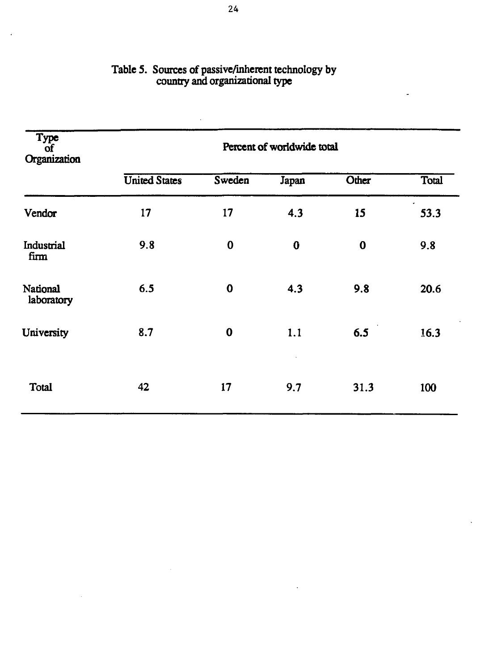| Type<br>οf<br>Organization | Percent of worldwide total |          |          |       |       |  |
|----------------------------|----------------------------|----------|----------|-------|-------|--|
|                            | <b>United States</b>       | Sweden   | Japan    | Other | Total |  |
| Vendor                     | 17                         | 17       | 4.3      | 15    | 53.3  |  |
| Industrial<br>firm         | 9.8                        | $\bf{0}$ | $\bf{0}$ | 0     | 9.8   |  |
| National<br>laboratory     | 6.5                        | $\bf{0}$ | 4.3      | 9.8   | 20.6  |  |
| University                 | 8.7                        | $\bf{0}$ | 1.1      | 6.5   | 16.3  |  |
| Total                      | 42                         | 17       | 9.7      | 31.3  | 100   |  |

# **Table 5. Sources of passive/inherent technology by country and organizational type**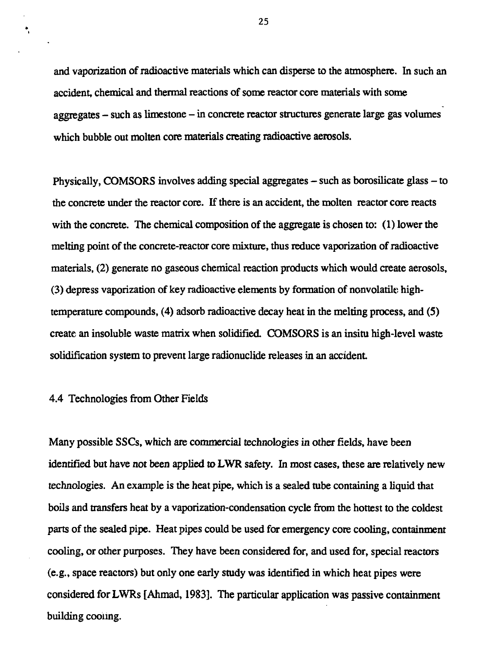and vaporization of radioactive materials which can disperse to the atmosphere. In such an accident, chemical and thermal reactions of some reactor core materials with some aggregates - such as limestone - in concrete reactor structures generate large gas volumes which bubble out molten core materials creating radioactive aerosols.

Physically, COMSORS involves adding special aggregates – such as borosilicate glass – to the concrete under the reactor core. If there is an accident, the molten reactor core reacts with the concrete. The chemical composition of the aggregate is chosen to: (1) lower the melting point of the concrete-reactor core mixture, thus reduce vaporization of radioactive materials, (2) generate no gaseous chemical reaction products which would create aerosols, (3) depress vaporization of key radioactive elements by formation of nonvolatile hightemperature compounds, (4) adsorb radioactive decay heat in the melting process, and (S) create an insoluble waste matrix when solidified. COMSORS is an insitu high-level waste solidification system to prevent large radionuclide releases in an accident

#### 4.4 Technologies from Other Fields

÷,

Many possible SSCs, which are commercial technologies in other fields, have been identified but have not been applied to LWR safety. In most cases, these are relatively new technologies. An example is the heat pipe, which is a sealed tube containing a liquid that boils and transfers heat by a vaporization-condensation cycle from the hottest to the coldest parts of the sealed pipe. Heat pipes could be used for emergency core cooling, containment cooling, or other purposes. They have been considered for, and used for, special reactors (e.g., space reactors) but only one early study was identified in which heat pipes were considered for LWRs [Ahmad, 1983]. The particular application was passive containment building cooling.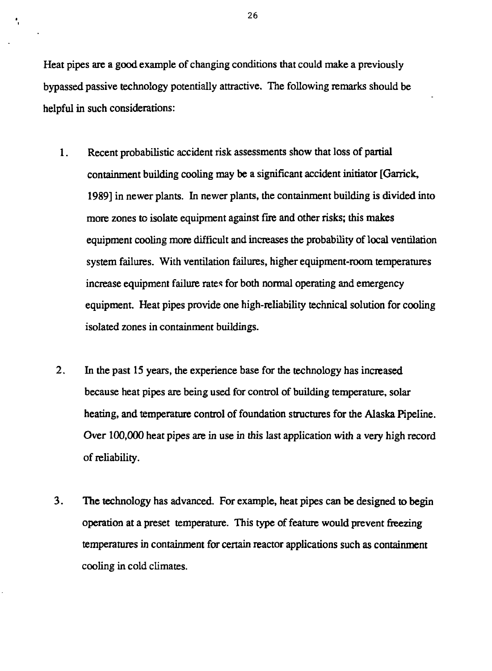Heat pipes are a good example of changing conditions that could make a previously bypassed passive technology potentially attractive. The following remarks should be helpful in such considerations:

ł,

- 1. Recent probabilistic accident risk assessments show that loss of partial containment building cooling may be a significant accident initiator [Garrick, 1989] in newer plants. In newer plants, the containment building is divided into more zones to isolate equipment against fire and other risks; this makes equipment cooling more difficult and increases the probability of local ventilation system failures. With ventilation failures, higher equipment-room temperatures increase equipment failure rates for both normal operating and emergency equipment. Heat pipes provide one high-reliability technical solution for cooling isolated zones in containment buildings.
- 2. In the past 15 years, the experience base for the technology has increased because heat pipes are being used for control of building temperature, solar heating, and temperature control of foundation structures for the Alaska Pipeline. Over 100,000 heat pipes are in use in this last application with a very high record of reliability.
- 3. The technology has advanced. For example, heat pipes can be designed to begin operation at a preset temperature. This type of feature would prevent freezing temperatures in containment for certain reactor applications such as containment cooling in cold climates.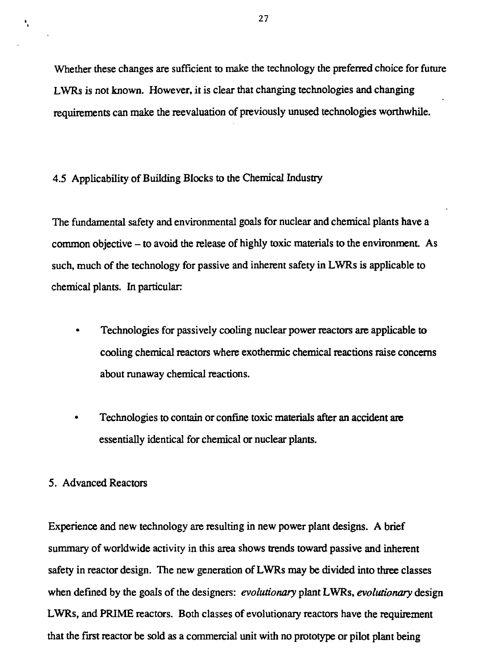Whether these changes are sufficient to make the technology the preferred choice for future LWRs is not known. However, it is clear that changing technologies and changing requirements can make the reevaluation of previously unused technologies worthwhile.

#### 4.5 Applicability of Building Blocks to the Chemical Industry

The fundamental safety and environmental goals for nuclear and chemical plants have a common objective - to avoid the release of highly toxic materials to the environment. As such, much of the technology for passive and inherent safety in LWRs is applicable to chemical plants. In particular

- Technologies for passively cooling nuclear power reactors are applicable to cooling chemical reactors where exothermic chemical reactions raise concerns about runaway chemical reactions.
- Technologies to contain or confine toxic materials after an accident are essentially identical for chemical or nuclear plants.

# 5. Advanced Reactors

Experience and new technology are resulting in new power plant designs. A brief summary of worldwide activity in this area shows trends toward passive and inherent safety in reactor design. The new generation of LWRs may be divided into three classes when defined by the goals of the designers: *evolutionary* plant LWRs, *evolutionary* design LWRs, and PRIME reactors. Both classes of evolutionary reactors have the requirement that the first reactor be sold as a commercial unit with no prototype or pilot plant being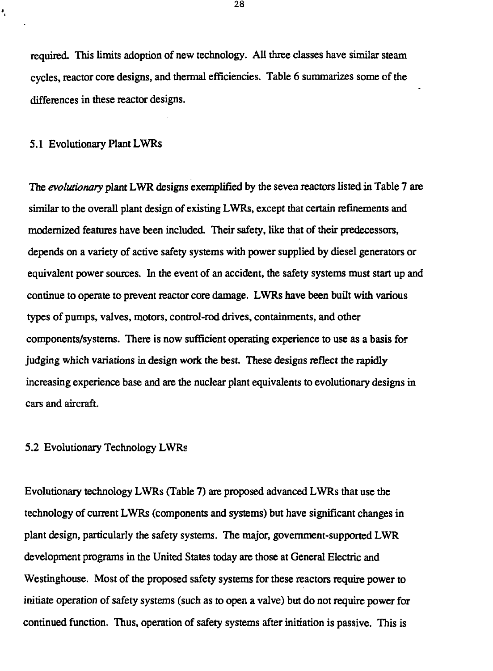required. This limits adoption of new technology. All three classes have similar steam cycles, reactor core designs, and thermal efficiencies. Table 6 summarizes some of the differences in these reactor designs.

#### 5.1 Evolutionary Plant LWRs

÷,

The *evolutionary* plant LWR designs exemplified by the seven reactors listed in Table 7 are similar to the overall plant design of existing LWRs, except that certain refinements and modernized features have been included. Their safety, like that of their predecessors, depends on a variety of active safety systems with power supplied by diesel generators or equivalent power sources. In the event of an accident, the safety systems must start up and continue to operate to prevent reactor core damage. LWRs have been built with various types of pumps, valves, motors, control-rod drives, containments, and other components/systems. There is now sufficient operating experience to use as a basis for judging which variations in design work the best. These designs reflect the rapidly increasing experience base and are the nuclear plant equivalents to evolutionary designs in cars and aircraft.

### 5.2 Evolutionary Technology LWRs

Evolutionary technology LWRs (Table 7) are proposed advanced LWRs that use the technology of current LWRs (components and systems) but have significant changes in plant design, particularly the safety systems. The major, government-supported LWR development programs in the United States today are those at General Electric and Westinghouse. Most of the proposed safety systems for these reactors require power to initiate operation of safety systems (such as to open a valve) but do not require power for continued function. Thus, operation of safety systems after initiation is passive. This is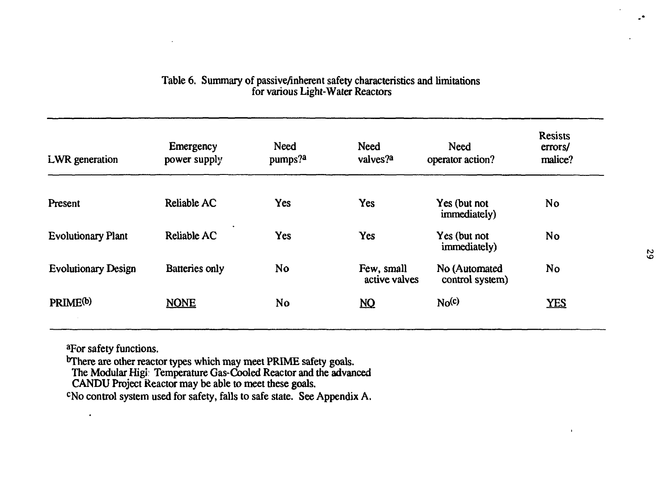| LWR generation             | Emergency<br>power supply | <b>Need</b><br>pumps? <sup>2</sup> | <b>Need</b><br>valves? <sup>a</sup> | Need<br>operator action?         | <b>Resists</b><br>errors/<br>malice? |
|----------------------------|---------------------------|------------------------------------|-------------------------------------|----------------------------------|--------------------------------------|
| Present                    | Reliable AC               | Yes                                | Yes                                 | Yes (but not<br>immediately)     | <b>No</b>                            |
| <b>Evolutionary Plant</b>  | Reliable AC               | Yes                                | Yes                                 | Yes (but not<br>immediately)     | No                                   |
| <b>Evolutionary Design</b> | Batteries only            | No                                 | Few, small<br>active valves         | No (Automated<br>control system) | N <sub>o</sub>                       |
| PRIME <sup>(b)</sup>       | <b>NONE</b>               | No                                 | $\underline{\mathbf{NQ}}$           | No <sup>(c)</sup>                | YES                                  |

# Table 6. Summary of passive/inherent safety characteristics and limitations for various Light-Water Reactors

a For safety functions.

 $\bullet$ 

<sup>b</sup>There are other reactor types which may meet PRIME safety goals.

The Modular Higi: Temperature Gas-Cooled Reactor and the advanced

CANDU Project Reactor may be able to meet these goals.

<sup>c</sup>No control system used for safety, falls to safe state. See Appendix A.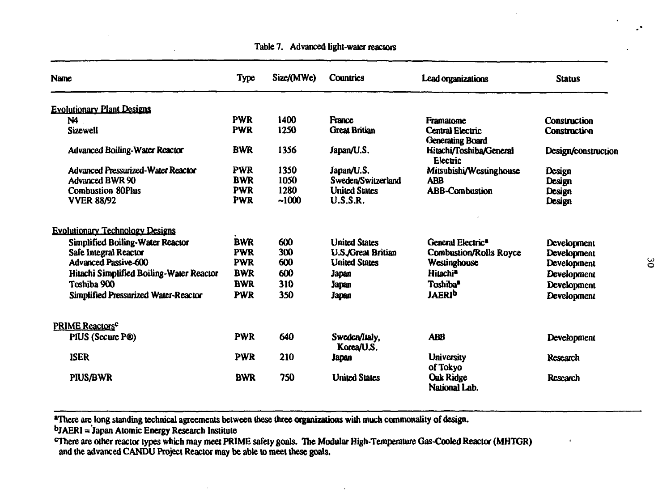| Name                                        | <b>Type</b> | Size/(MWe) | <b>Countries</b>            | Lead organizations                                 | <b>Status</b>       |
|---------------------------------------------|-------------|------------|-----------------------------|----------------------------------------------------|---------------------|
| <b>Evolutionary Plant Designs</b>           |             |            |                             |                                                    |                     |
| N4.                                         | <b>PWR</b>  | 1400       | France                      | Framatome                                          | <b>Construction</b> |
| <b>Sizewell</b>                             | <b>PWR</b>  | 1250       | <b>Great Britian</b>        | <b>Central Electric</b><br><b>Generating Board</b> | <b>Construction</b> |
| <b>Advanced Boiling-Water Reactor</b>       | <b>BWR</b>  | 1356       | Japan/U.S.                  | Hitachi/Toshiba/General<br><b>Electric</b>         | Design/construction |
| <b>Advanced Pressurized-Water Reactor</b>   | <b>PWR</b>  | 1350       | Japan/U.S.                  | Mitsubishi/Westinghouse                            | Design              |
| <b>Advanced BWR 90</b>                      | <b>BWR</b>  | 1050       | Sweden/Switzerland          | <b>ABB</b>                                         | Design              |
| <b>Combustion 80Plus</b>                    | <b>PWR</b>  | 1280       | <b>United States</b>        | <b>ABB-Combustion</b>                              | Design              |
| <b>VVER 88/92</b>                           | <b>PWR</b>  | ~1000      | U.S.S.R.                    |                                                    | Design              |
| <b>Evolutionary Technology Designs</b>      |             |            |                             |                                                    |                     |
| <b>Simplified Boiling-Water Reactor</b>     | <b>BWR</b>  | 600        | <b>United States</b>        | General Electric <sup>8</sup>                      | Development         |
| Safe Integral Reactor                       | <b>PWR</b>  | 300        | <b>U.S./Great Britian</b>   | <b>Combustion/Rolls Royce</b>                      | Development         |
| <b>Advanced Passive-600</b>                 | <b>PWR</b>  | 600        | <b>United States</b>        | Westinghouse                                       | Development         |
| Hitachi Simplified Boiling-Water Reactor    | <b>BWR</b>  | 600        | Japan                       | Hitachi <sup>a</sup>                               | Development         |
| Toshiba 900                                 | <b>BWR</b>  | 310        | Japan                       | Toshiba <sup>a</sup>                               | Development         |
| <b>Simplified Pressurized Water-Reactor</b> | <b>PWR</b>  | 350        | Japan                       | <b>JAERI<sup>b</sup></b>                           | Development         |
| <b>PRIME Reactors<sup>c</sup></b>           |             |            |                             |                                                    |                     |
| PIUS (Secure P®)                            | <b>PWR</b>  | 640        | Sweden/Italy,<br>Korea/U.S. | <b>ABB</b>                                         | Development         |
| <b>ISER</b>                                 | <b>PWR</b>  | 210        | Japan                       | <b>University</b><br>of Tokyo                      | Research            |
| <b>PIUS/BWR</b>                             | <b>BWR</b>  | 750        | <b>United States</b>        | <b>Oak Ridge</b><br>National Lab.                  | <b>Research</b>     |

**Table 7. Advanced light-water reactors**

**'There are long standing technical agreements between these three organizations with much commonality of design. b JAERI = Japan Atomic Energy Research Institute**

**cThere are other reactor types which may meet PRIME safety goals. The Modular High-Temperature Gas-Cooled Reactor (MHTGR) and the advanced CANDU Project Reactor may be able to meet these goals.**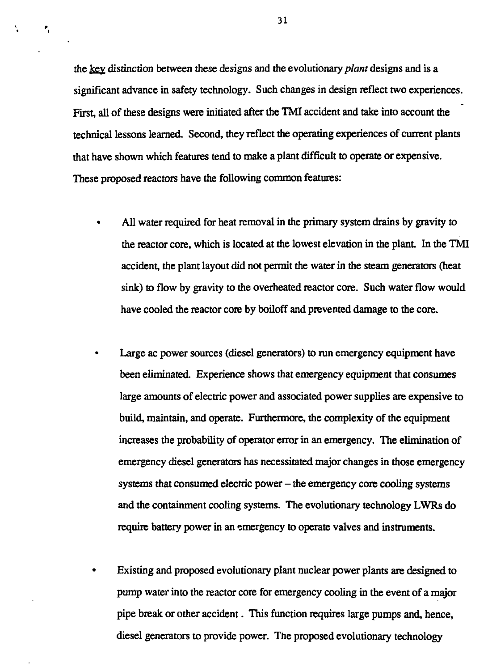the key distinction between these designs and the evolutionary *plant* designs and is a significant advance in safety technology. Such changes in design reflect two experiences. First, all of these designs were initiated after the TMI accident and take into account the technical lessons learned. Second, they reflect the operating experiences of current plants that have shown which features tend to make a plant difficult to operate or expensive. These proposed reactors have the following common features:

- All water required for heat removal in the primary system drains by gravity to the reactor core, which is located at the lowest elevation in the plant. In the TMI accident, the plant layout did not permit the water in the steam generators (heat sink) to flow by gravity to the overheated reactor core. Such water flow would have cooled the reactor core by boiloff and prevented damage to the core.
- Large ac power sources (diesel generators) to run emergency equipment have been eliminated. Experience shows that emergency equipment that consumes large amounts of electric power and associated power supplies are expensive to build, maintain, and operate. Furthermore, the complexity of the equipment increases the probability of operator error in an emergency. The elimination of emergency diesel generators has necessitated major changes in those emergency systems that consumed electric power – the emergency core cooling systems and the containment cooling systems. The evolutionary technology LWRs do require battery power in an emergency to operate valves and instruments.
- Existing and proposed evolutionary plant nuclear power plants are designed to pump water into the reactor core for emergency cooling in the event of a major pipe break or other accident. This function requires large pumps and, hence, diesel generators to provide power. The proposed evolutionary technology

÷.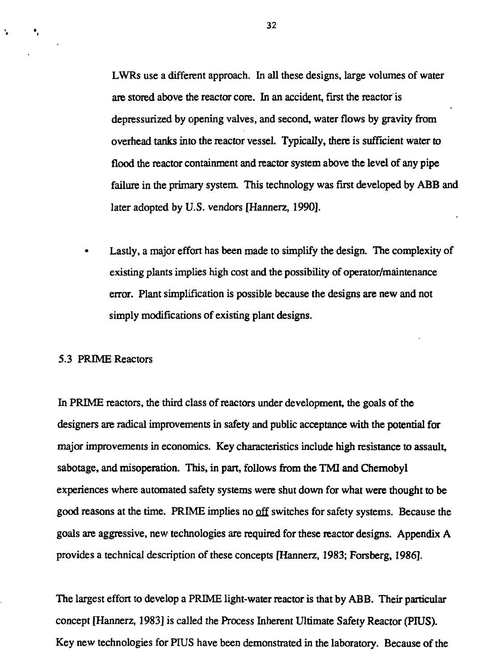LWRs use a different approach. In all these designs, large volumes of water are stored above the reactor core. In an accident, first the reactor is depressurized by opening valves, and second, water flows by gravity from overhead tanks into the reactor vessel. Typically, there is sufficient water to flood the reactor containment and reactor system above the level of any pipe failure in the primary system. This technology was first developed by ABB and later adopted by U.S. vendors [Hannerz, 1990].

Lastly, a major effort has been made to simplify the design. The complexity of existing plants implies high cost and the possibility of operator/maintenance error. Plant simplification is possible because the designs are new and not simply modifications of existing plant designs.

#### 5.3 PRIME Reactors

×,

Â.

In PRIME reactors, the third class of reactors under development, the goals of the designers are radical improvements in safety and public acceptance with the potential for major improvements in economics. Key characteristics include high resistance to assault, sabotage, and misoperation. This, in part, follows from the TMI and Chernobyl experiences where automated safety systems were shut down for what were thought to be good reasons at the time. PRIME implies no off switches for safety systems. Because the goals are aggressive, new technologies are required for these reactor designs. Appendix A provides a technical description of these concepts [Hannerz, 1983; Forsberg, 1986].

The largest effort to develop a PRIME light-water reactor is that by ABB. Their particular concept [Hannerz, 1983] is called the Process Inherent Ultimate Safety Reactor (PIUS). Key new technologies for PIUS have been demonstrated in the laboratory. Because of the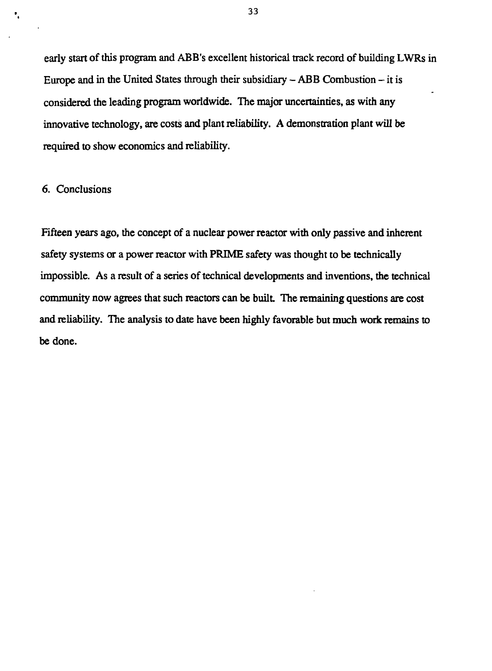early start of this program and ABB's excellent historical track record of building LWRs in Europe and in the United States through their subsidiary  $-$  ABB Combustion  $-$  it is considered the leading program worldwide. The major uncertainties, as with any innovative technology, are costs and plant reliability. A demonstration plant will be required to show economics and reliability.

# 6. Conclusions

Ŷ,

Fifteen years ago, the concept of a nuclear power reactor with only passive and inherent safety systems or a power reactor with PRIME safety was thought to be technically impossible. As a result of a series of technical developments and inventions, the technical community now agrees that such reactors can be built. The remaining questions are cost and reliability. The analysis to date have been highly favorable but much work remains to be done.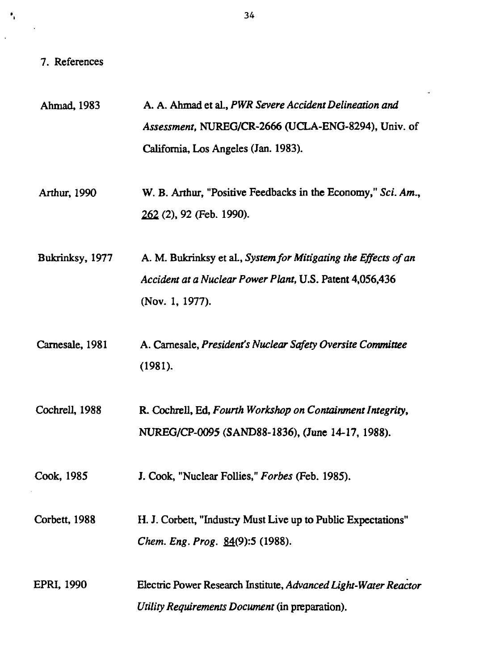# 7. References

 $\ddot{\bullet}_i$ 

 $\ddot{\phantom{a}}$ 

| Ahmad, 1983     | A. A. Ahmad et al., PWR Severe Accident Delineation and                                                                                        |
|-----------------|------------------------------------------------------------------------------------------------------------------------------------------------|
|                 | Assessment, NUREG/CR-2666 (UCLA-ENG-8294), Univ. of                                                                                            |
|                 | California, Los Angeles (Jan. 1983).                                                                                                           |
| Arthur, 1990    | W. B. Arthur, "Positive Feedbacks in the Economy," Sci. Am.,<br>262 (2), 92 (Feb. 1990).                                                       |
| Bukrinksy, 1977 | A. M. Bukrinksy et al., System for Mitigating the Effects of an<br>Accident at a Nuclear Power Plant, U.S. Patent 4,056,436<br>(Nov. 1, 1977). |
| Carnesale, 1981 | A. Carnesale, President's Nuclear Safety Oversite Committee<br>(1981).                                                                         |
| Cochrell, 1988  | R. Cochrell, Ed, Fourth Workshop on Containment Integrity,<br>NUREG/CP-0095 (SAND88-1836), (June 14-17, 1988).                                 |
| Cook, 1985      | J. Cook, "Nuclear Follies," Forbes (Feb. 1985).                                                                                                |
| Corbett, 1988   | H. J. Corbett, "Industry Must Live up to Public Expectations"<br>Chem. Eng. Prog. 84(9):5 (1988).                                              |
| EPRI, 1990      | Electric Power Research Institute, Advanced Light-Water Reactor<br>Utility Requirements Document (in preparation).                             |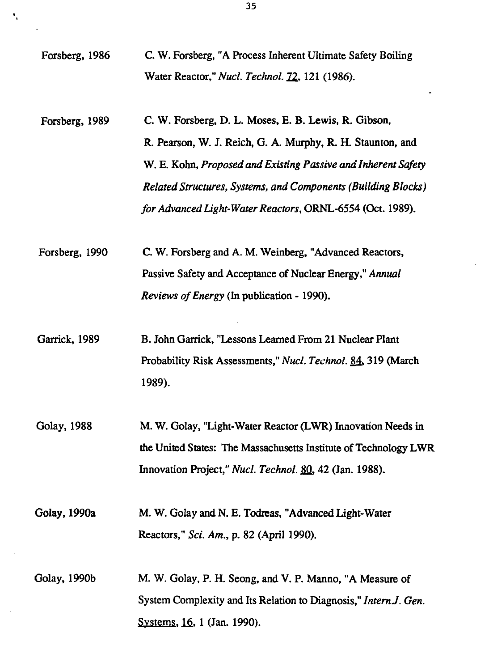Forsberg, 1986 C. W. Forsberg, "A Process Inherent Ultimate Safety Boiling Water Reactor," *Nucl. Technol.12,* 121 (1986).

۰,

- Forsberg, 1989 C. W. Forsberg, D. L. Moses, E. B. Lewis, R. Gibson, R. Pearson, W. J. Reich, G. A. Murphy, R. H. Staunton, and W. E. Kohn, *Proposed and Existing Passive and Inherent Safety Related Structures, Systems, and Components (Building Blocks) for Advanced Light-Water Reactors,* ORNL-6554 (Oct. 1989).
- Forsberg, 1990 C. W. Forsberg and A. M. Weinberg, "Advanced Reactors, Passive Safety and Acceptance of Nuclear Energy," *Annual Reviews of Energy* (In publication -1990).
- Garrick, 1989 B. John Garrick, "Lessons Learned From 21 Nuclear Plant Probability Risk Assessments," *Nucl. Technol.* 84. 319 (March 1989).
- Golay, 1988 M. W. Golay, "Light-Water Reactor (LWR) Innovation Needs in the United States: The Massachusetts Institute of Technology LWR Innovation Project," *Nucl. Technol. ffl,* 42 (Jan. 1988).

Golay, 1990a M. W. Golay and N. E. Todreas, "Advanced Light-Water Reactors," *Sci. Am.,* p. 82 (April 1990).

Golay, 1990b M. W. Golay, P. H. Seong, and V. P. Manno, "A Measure of System Complexity and Its Relation to Diagnosis," *Intern J. Gen.* Systems, 16, 1 (Jan. 1990).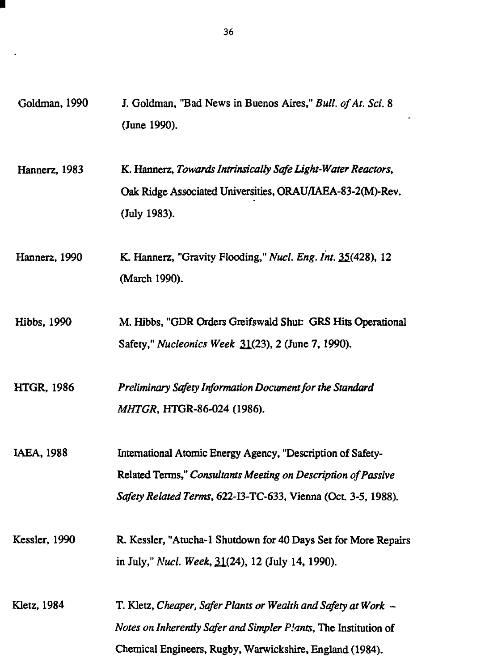Goldman, 1990 J. Goldman, "Bad News in Buenos Aires," *Bull, of At. Sci.* 8 (June 1990). Hannerz, 1983 K. Hannerz, *Towards Intrinsically Safe Light-Water Reactors,* Oak Ridge Associated Universities, ORAU/IAEA-83-2(M)-Rev. (July 1983). Hannerz, 1990 K. Hannerz, "Gravity Flooding," Mar/. *Eng. Int.* 25(428), 12 (March 1990). Hibbs, 1990 M. Hibbs, "GDR Orders Greifswald Shut: GRS Hits Operational Safety," *Nucleonics Week* 21(23), 2 (June 7,1990). HTGR, 1986 *Preliminary Safety Information Document for the Standard MHTGR,* HTGR-86-024 (1986). IAEA, 1988 International Atomic Energy Agency, "Description of Safety-Related Terms," *Consultants Meeting on Description of Passive Safety Related Terms,* 622-I3-TC-633, Vienna (Oct. 3-5, 1988). Kessler, 1990 R. Kessler, "Atucha-1 Shutdown for 40 Days Set for More Repairs in July," *Nucl. Week,* 21(24), 12 (July 14,1990). Kletz, 1984 T. Kletz, *Cheaper, Safer Plants or Wealth and Safety at Work - Notes on Inherently Safer and Simpler Plants,* The Institution of Chemical Engineers, Rugby, Warwickshire, England (1984).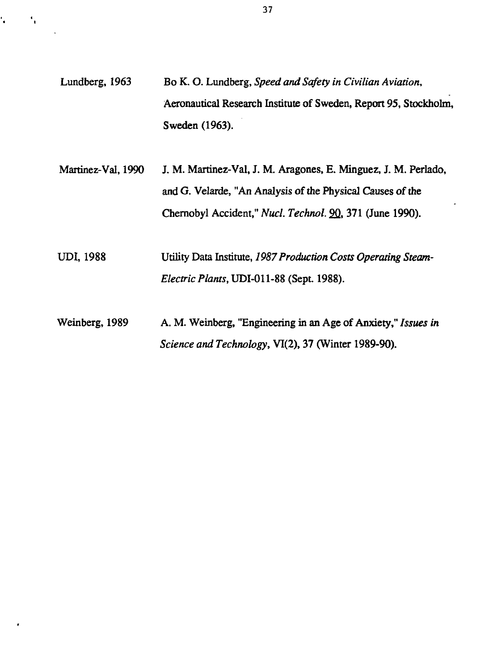- Lundberg, 1963 Bo K. O. Lundberg, *Speed and Safety in Civilian Aviation,* Aeronautical Research Institute of Sweden, Report 95, Stockholm, Sweden (1963).
- Martinez-Val, 1990 J. M. Martinez-Val, J. M. Aragones, E. Minguez, J. M. Perlado, and G. Velarde, "An Analysis of the Physical Causes of the Chernobyl Accident," Nucl. Technol. 90, 371 (June 1990).
- UDI, 1988 Utility Data Institute, *1987 Production Costs Operating Steam-Electric Plants,UDI-0U-S\$* (Sept. 1988).
- Weinberg, 1989 A. M. Weinberg, "Engineering in an Age of Anxiety," *Issues in Science and Technology,* VI(2), 37 (Winter 1989-90).

ť.

٠.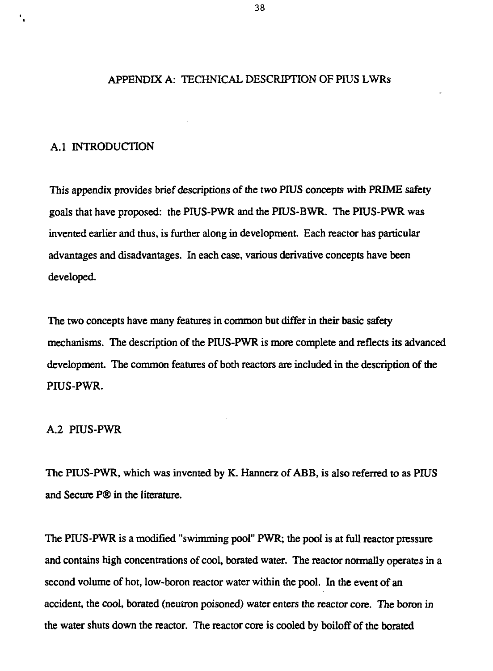#### APPENDIX A: TECHNICAL DESCRIPTION OF PIUS LWRs

# A.I INTRODUCTION

This appendix provides brief descriptions of the two PIUS concepts with PRIME safety goals that have proposed: the PIUS-PWR and the PIUS-BWR. The PIUS-PWR was invented earlier and thus, is further along in development. Each reactor has particular advantages and disadvantages. In each case, various derivative concepts have been developed.

The two concepts have many features in common but differ in their basic safety mechanisms. The description of the PIUS-PWR is more complete and reflects its advanced development. The common features of both reactors are included in the description of the PIUS-PWR.

# A.2 PIUS-PWR

The PIUS-PWR, which was invented by K. Hannerz of ABB, is also referred to as PIUS and Secure P® in the literature.

The PIUS-PWR is a modified "swimming pool" PWR; the pool is at full reactor pressure and contains high concentrations of cool, borated water. The reactor normally operates in a second volume of hot, low-boron reactor water within the pool. In the event of an accident, the cool, borated (neutron poisoned) water enters the reactor core. The boron in the water shuts down the reactor. The reactor core is cooled by boiloff of the borated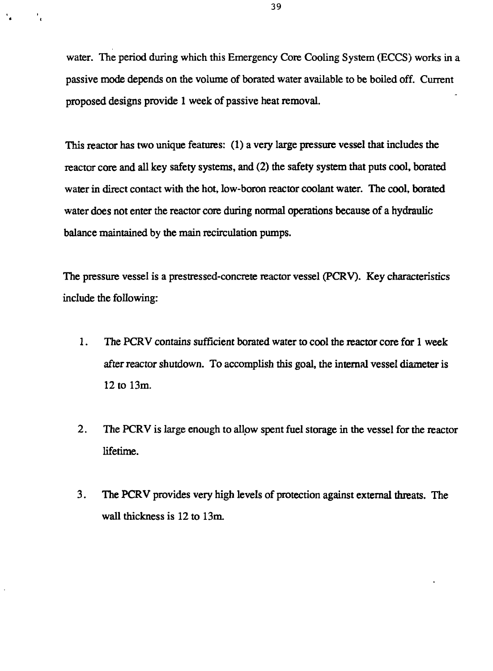water. The period during which this Emergency Core Cooling System (ECCS) works in a passive mode depends on the volume of borated water available to be boiled off. Current proposed designs provide 1 week of passive heat removal.

۰,

This reactor has two unique features: (1) a very large pressure vessel that includes the reactor core and all key safety systems, and (2) the safety system that puts cool, borated water in direct contact with the hot, low-boron reactor coolant water. The cool, borated water does not enter the reactor core during normal operations because of a hydraulic balance maintained by the main recirculation pumps.

The pressure vessel is a prestressed-concrete reactor vessel (PCRV). Key characteristics include the following:

- 1. The PCRV contains sufficient borated water to cool the reactor core for 1 week after reactor shutdown. To accomplish this goal, the internal vessel diameter is 12 to 13m.
- 2. The PCRV is large enough to allow spent fuel storage in the vessel for the reactor lifetime.
- 3. The PCRV provides very high levels of protection against external threats. The wall thickness is 12 to 13m.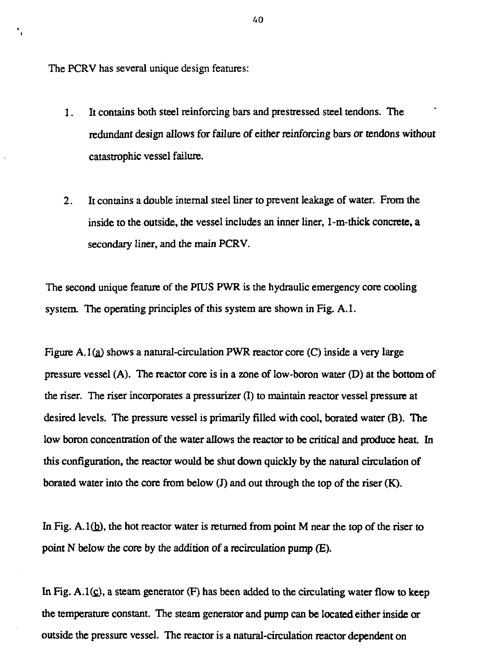The PCRV has several unique design features:

 $\mathbf{r}_i$ 

- 1. It contains both steel reinforcing bars and prestressed steel tendons. The redundant design allows for failure of either reinforcing bars *or* tendons without catastrophic vessel failure.
- 2. It contains a double internal steel liner to prevent leakage of water. From the inside to the outside, the vessel includes an inner liner, 1-m-thick concrete, a secondary liner, and the main PCRV.

The second unique feature of the PIUS PWR is the hydraulic emergency core cooling system. The operating principles of this system are shown in Fig. A.l.

Figure A.1 $(a)$  shows a natural-circulation PWR reactor core (C) inside a very large pressure vessel (A). The reactor core is in a zone of low-boron water (D) at the bottom of the riser. The riser incorporates a pressurizer (I) to maintain reactor vessel pressure at desired levels. The pressure vessel is primarily filled with cool, berated water (B). The low boron concentration of the water allows the reactor to be critical and produce heat. In this configuration, the reactor would be shut down quickly by the natural circulation of borated water into the core from below (J) and out through the top of the riser (K).

In Fig.  $A.1(b)$ , the hot reactor water is returned from point M near the top of the riser to point N below the core by the addition of a recirculation pump (E).

In Fig.  $A.1(c)$ , a steam generator (F) has been added to the circulating water flow to keep the temperature constant. The steam generator and pump can be located either inside or outside the pressure vessel. The reactor is a natural-circulation reactor dependent on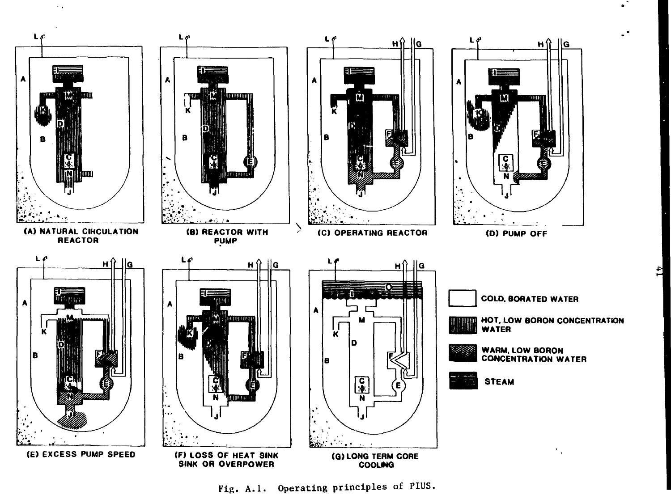

 $\sim$  .

**Fig. A.I. Operating principles of PIUS.**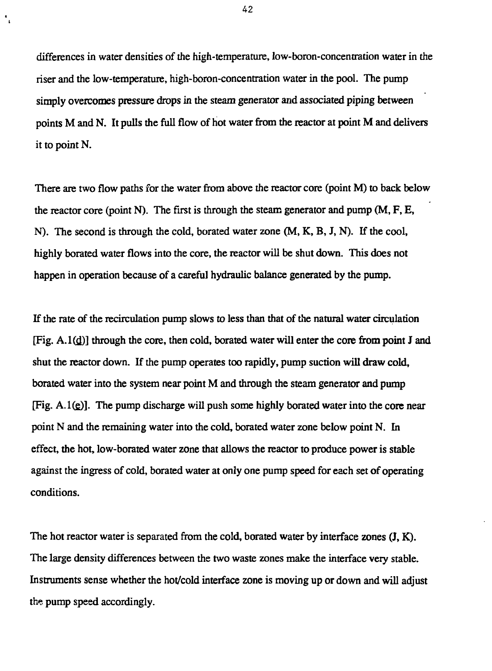differences in water densities of the high-temperature, low-boron-concentration water in the riser and the low-temperature, high-boron-concentration water in the pool. The pump simply overcomes pressure drops in the steam generator and associated piping between points M and N. It pulls the full flow of hot water from the reactor at point M and delivers *it* to point N.

There are two flow paths for the water from above the reactor core (point M) to back below the reactor core (point N). The first is through the steam generator and pump  $(M, F, E,$ N). The second is through the cold, borated water zone (M, K, B, J, N). If the cool, highly borated water flows into the core, the reactor will be shut down. This does not happen in operation because of a careful hydraulic balance generated by the pump.

If the rate of the recirculation pump slows to less than that of the natural water circulation  $[Fig. A.1(d)]$  through the core, then cold, borated water will enter the core from point J and shut the reactor down. If the pump operates too rapidly, pump suction will draw cold, borated water into the system near point M and through the steam generator and pump  $[Fig. A.1(e)]$ . The pump discharge will push some highly borated water into the core near point N and the remaining water into the cold, borated water zone below point N. In effect, the hot, low-borated water zone that allows the reactor to produce power is stable against the ingress of cold, borated water at only one pump speed for each set of operating conditions.

The hot reactor water is separated from the cold, borated water by interface zones  $(J, K)$ . The large density differences between the two waste zones make the interface very stable. Instruments sense whether the hot/cold interface zone is moving up or down and will adjust the pump speed accordingly.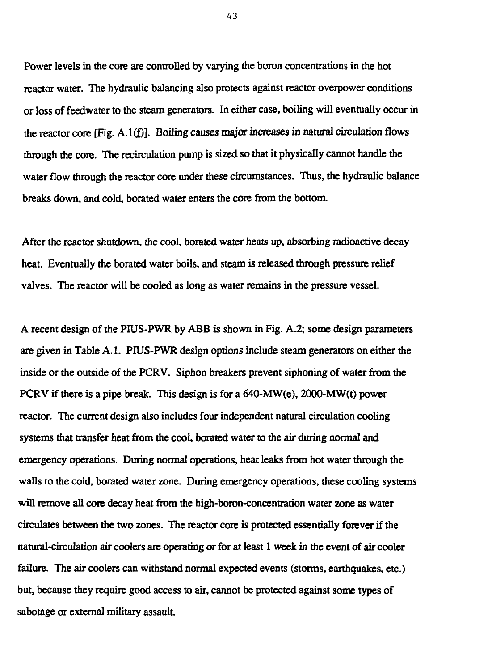Power levels in the core are controlled by varying the boron concentrations in the hot reactor water. The hydraulic balancing also protects against reactor overpower conditions or loss of feedwater to the steam generators. In either case, boiling will eventually occur in the reactor core [Fig. A. l(f)]. Boiling causes major increases in natural circulation flows through the core. The recirculation pump is sized so that it physically cannot handle the water flow through the reactor core under these circumstances. Thus, the hydraulic balance breaks down, and cold, borated water enters the core from the bottom.

After the reactor shutdown, the cool, borated water heats up, absorbing radioactive decay heat. Eventually the borated water boils, and steam is released through pressure relief valves. The reactor will be cooled as long as water remains in the pressure vessel.

A recent design of the PIUS-PWR by ABB is shown in Fig. A.2; some design parameters are given in Table A. 1. PIUS-PWR design options include steam generators on either the inside or the outside of the PCRV. Siphon breakers prevent siphoning of water from the PCRV if there is a pipe break. This design is for a 640-MW(e), 2000-MW(t) power reactor. The current design also includes four independent natural circulation cooling systems that transfer heat from the cool, borated water to the air during normal and emergency operations. During normal operations, heat leaks from hot water through the walls to the cold, borated water zone. During emergency operations, these cooling systems will remove all core decay heat from the high-boron-concentration water zone as water circulates between the two zones. The reactor core is protected essentially forever if the natural-circulation air coolers are operating or for at least 1 week in the event *of* air cooler failure. The air coolers can withstand normal expected events (storms, earthquakes, etc.) but, because they require good access to air, cannot be protected against some types of sabotage or external military assault.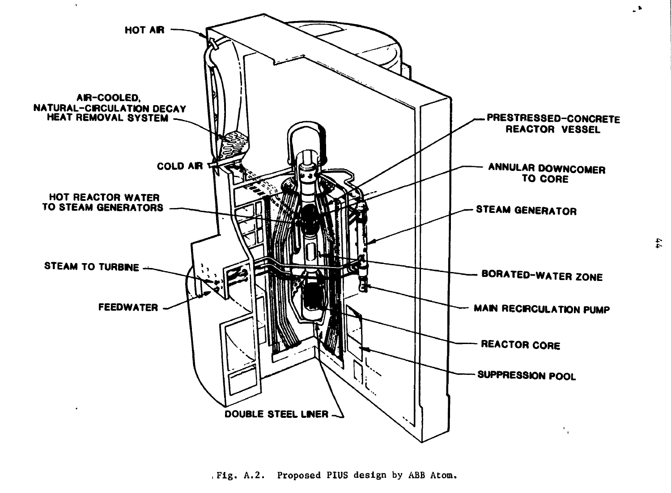

Fig. A.2. Proposed PIUS design by ABB Atom.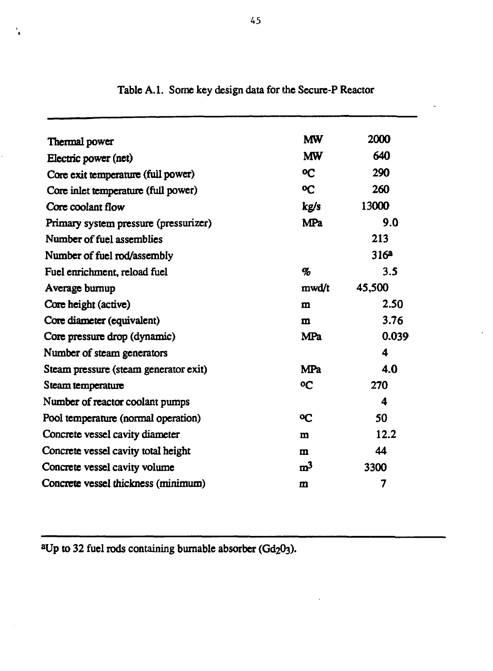| Thermal power                         | <b>MW</b>      | 2000             |
|---------------------------------------|----------------|------------------|
| Electric power (net)                  | <b>MW</b>      | 640              |
| Core exit temperature (full power)    | <b>OC</b>      | 290              |
| Core inlet temperature (full power)   | <b>OC</b>      | 260              |
| Core coolant flow                     | kg/s           | 13000            |
| Primary system pressure (pressurizer) | <b>MPa</b>     | 9.0              |
| Number of fuel assemblies             |                | 213              |
| Number of fuel rod/assembly           |                | 316 <sup>a</sup> |
| Fuel enrichment, reload fuel          | %              | 3.5              |
| Average burnup                        | mwd/t          | 45,500           |
| Core height (active)                  | $\mathbf{m}$   | 2.50             |
| Core diameter (equivalent)            | $\mathbf{m}$   | 3.76             |
| Core pressure drop (dynamic)          | MPa            | 0.039            |
| Number of steam generators            |                | $\boldsymbol{4}$ |
| Steam pressure (steam generator exit) | <b>MPa</b>     | 4.0              |
| Steam temperature                     | oС             | 270              |
| Number of reactor coolant pumps       |                | 4                |
| Pool temperature (normal operation)   | oС             | 50               |
| Concrete vessel cavity diameter       | m              | 12.2             |
| Concrete vessel cavity total height   | $\mathbf{m}$   | 44               |
| Concrete vessel cavity volume         | m <sup>3</sup> | 3300             |
| Concrete vessel thickness (minimum)   | $\mathbf{m}$   | 7                |
|                                       |                |                  |

# **Table A.l. Some key design data for die Sccure-P Reactor**

**<sup>a</sup>Up to 32 fuel rods containing burnable absorber**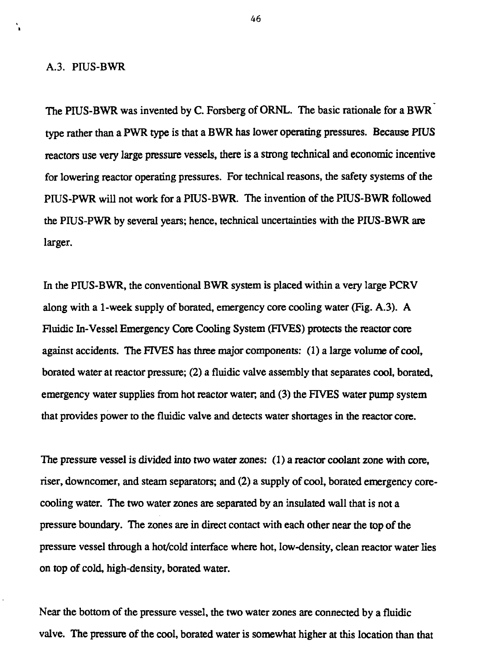#### A.3. PIUS-BWR

The PIUS-BWR was invented by C. Forsberg of ORNL. The basic rationale for a BWR type rather than a PWR type is that a BWR has lower operating pressures. Because PIUS reactors use very large pressure vessels, there is a strong technical and economic incentive for lowering reactor operating pressures. For technical reasons, the safety systems of the PIUS-PWR will not work for a PIUS-BWR. The invention of the PIUS-BWR followed the PIUS-PWR by several years; hence, technical uncertainties with the PIUS-BWR are larger.

In the PIUS-BWR, the conventional BWR system is placed within a very large PCRV along with a 1-week supply of borated, emergency core cooling water (Fig. A.3). A Fluidic In-Vessel Emergency Core Cooling System (FIVES) protects the reactor core against accidents. The FIVES has three major components: (1) a large volume of cool, borated water at reactor pressure; (2) a fluidic valve assembly that separates cool, borated, emergency water supplies from hot reactor water, and (3) the FIVES water pump system that provides power to the fluidic valve and detects water shortages in the reactor core.

The pressure vessel is divided into two water zones: (1) a reactor coolant zone with core, riser, downcomer, and steam separators; and (2) a supply of cool, borated emergency corecooling water. The two water zones are separated by an insulated wall that is not a pressure boundary. The zones are in direct contact with each other near the top of the pressure vessel through a hot/cold interface where hot, low-density, clean reactor water lies on top of cold, high-density, borated water.

Near the bottom of the pressure vessel, the two water zones are connected by a fluidic valve. The pressure of the cool, borated water is somewhat higher at this location than that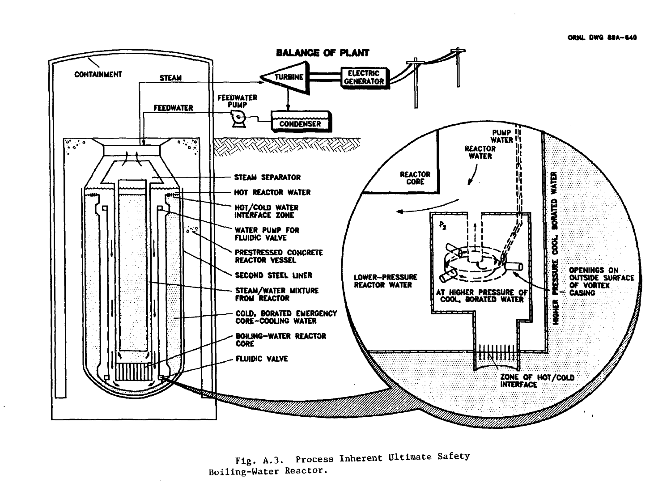

Fig. A.3. Process Inherent Ultimate Safety Boiling-Water Reactor.